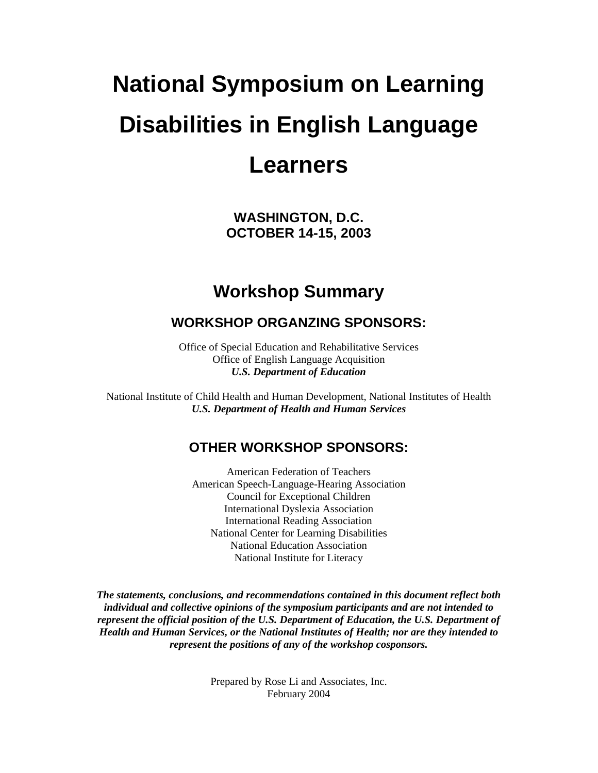# **National Symposium on Learning Disabilities in English Language Learners**

**WASHINGTON, D.C. OCTOBER 14-15, 2003** 

# **Workshop Summary**

### **WORKSHOP ORGANZING SPONSORS:**

Office of Special Education and Rehabilitative Services Office of English Language Acquisition *U.S. Department of Education* 

National Institute of Child Health and Human Development, National Institutes of Health *U.S. Department of Health and Human Services* 

#### **OTHER WORKSHOP SPONSORS:**

American Federation of Teachers American Speech-Language-Hearing Association Council for Exceptional Children International Dyslexia Association International Reading Association National Center for Learning Disabilities National Education Association National Institute for Literacy

*The statements, conclusions, and recommendations contained in this document reflect both individual and collective opinions of the symposium participants and are not intended to represent the official position of the U.S. Department of Education, the U.S. Department of Health and Human Services, or the National Institutes of Health; nor are they intended to represent the positions of any of the workshop cosponsors.* 

> Prepared by Rose Li and Associates, Inc. February 2004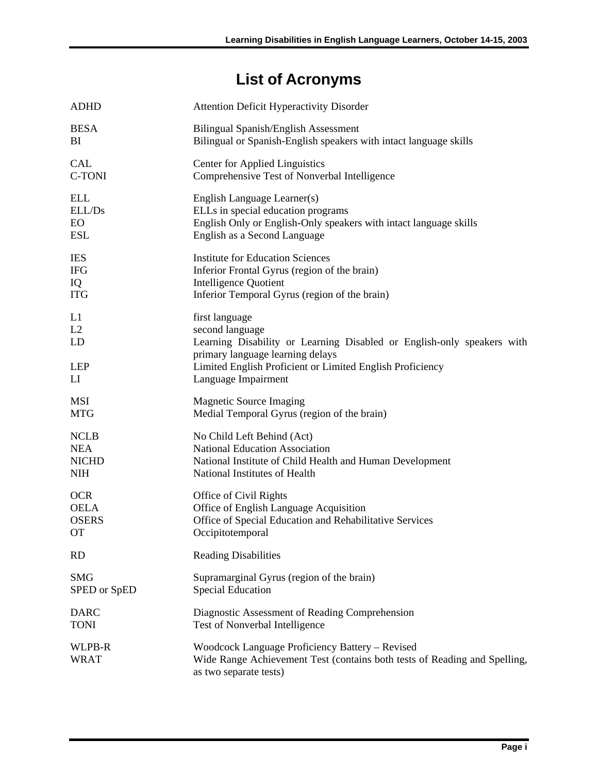# **List of Acronyms**

<span id="page-1-0"></span>

| <b>ADHD</b>           | <b>Attention Deficit Hyperactivity Disorder</b>                                                                                                        |
|-----------------------|--------------------------------------------------------------------------------------------------------------------------------------------------------|
| <b>BESA</b>           | <b>Bilingual Spanish/English Assessment</b>                                                                                                            |
| BI                    | Bilingual or Spanish-English speakers with intact language skills                                                                                      |
| <b>CAL</b>            | <b>Center for Applied Linguistics</b>                                                                                                                  |
| <b>C-TONI</b>         | Comprehensive Test of Nonverbal Intelligence                                                                                                           |
| <b>ELL</b>            | English Language Learner(s)                                                                                                                            |
| ELL/Ds                | ELLs in special education programs                                                                                                                     |
| EO                    | English Only or English-Only speakers with intact language skills                                                                                      |
| <b>ESL</b>            | English as a Second Language                                                                                                                           |
| <b>IES</b>            | <b>Institute for Education Sciences</b>                                                                                                                |
| <b>IFG</b>            | Inferior Frontal Gyrus (region of the brain)                                                                                                           |
| IQ                    | <b>Intelligence Quotient</b>                                                                                                                           |
| <b>ITG</b>            | Inferior Temporal Gyrus (region of the brain)                                                                                                          |
| L1<br>L2<br>LD        | first language<br>second language<br>Learning Disability or Learning Disabled or English-only speakers with<br>primary language learning delays        |
| <b>LEP</b>            | Limited English Proficient or Limited English Proficiency                                                                                              |
| LI                    | Language Impairment                                                                                                                                    |
| MSI                   | <b>Magnetic Source Imaging</b>                                                                                                                         |
| <b>MTG</b>            | Medial Temporal Gyrus (region of the brain)                                                                                                            |
| <b>NCLB</b>           | No Child Left Behind (Act)                                                                                                                             |
| <b>NEA</b>            | <b>National Education Association</b>                                                                                                                  |
| <b>NICHD</b>          | National Institute of Child Health and Human Development                                                                                               |
| <b>NIH</b>            | National Institutes of Health                                                                                                                          |
| <b>OCR</b>            | Office of Civil Rights                                                                                                                                 |
| <b>OELA</b>           | Office of English Language Acquisition                                                                                                                 |
| <b>OSERS</b>          | Office of Special Education and Rehabilitative Services                                                                                                |
| ОT                    | Occipitotemporal                                                                                                                                       |
| <b>RD</b>             | <b>Reading Disabilities</b>                                                                                                                            |
| <b>SMG</b>            | Supramarginal Gyrus (region of the brain)                                                                                                              |
| SPED or SpED          | <b>Special Education</b>                                                                                                                               |
| <b>DARC</b>           | Diagnostic Assessment of Reading Comprehension                                                                                                         |
| <b>TONI</b>           | Test of Nonverbal Intelligence                                                                                                                         |
| WLPB-R<br><b>WRAT</b> | Woodcock Language Proficiency Battery - Revised<br>Wide Range Achievement Test (contains both tests of Reading and Spelling,<br>as two separate tests) |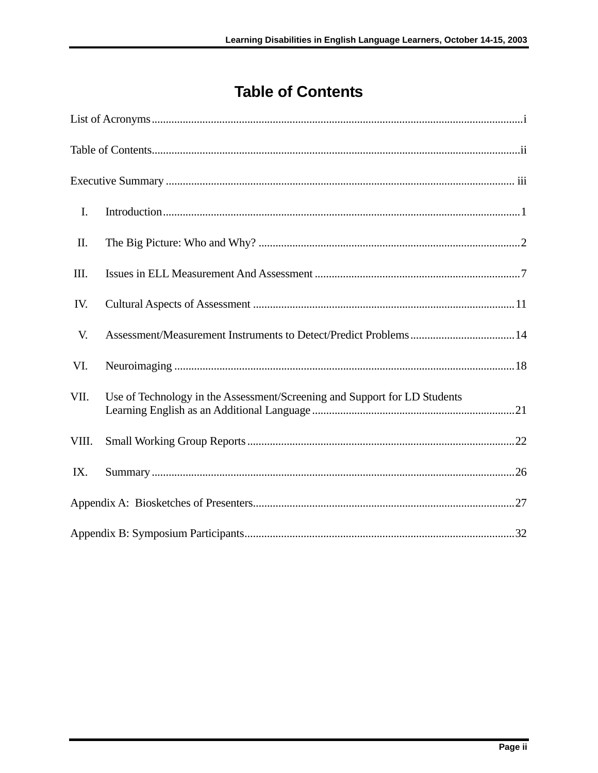# **Table of Contents**

<span id="page-2-0"></span>

| I.    |                                                                           |
|-------|---------------------------------------------------------------------------|
| П.    |                                                                           |
| III.  |                                                                           |
| IV.   |                                                                           |
| V.    |                                                                           |
| VI.   |                                                                           |
| VII.  | Use of Technology in the Assessment/Screening and Support for LD Students |
| VIII. |                                                                           |
| IX.   |                                                                           |
|       |                                                                           |
|       |                                                                           |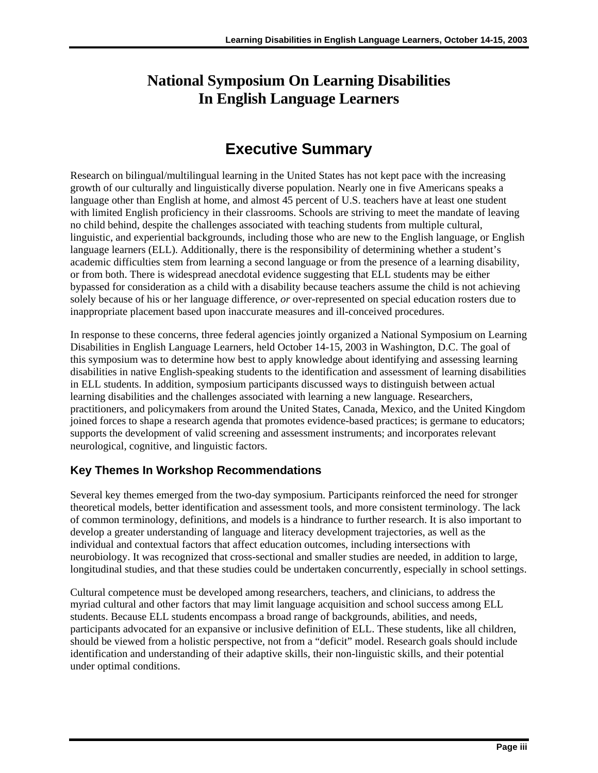### <span id="page-3-0"></span>**National Symposium On Learning Disabilities In English Language Learners**

# **Executive Summary**

Research on bilingual/multilingual learning in the United States has not kept pace with the increasing growth of our culturally and linguistically diverse population. Nearly one in five Americans speaks a language other than English at home, and almost 45 percent of U.S. teachers have at least one student with limited English proficiency in their classrooms. Schools are striving to meet the mandate of leaving no child behind, despite the challenges associated with teaching students from multiple cultural, linguistic, and experiential backgrounds, including those who are new to the English language, or English language learners (ELL). Additionally, there is the responsibility of determining whether a student's academic difficulties stem from learning a second language or from the presence of a learning disability, or from both. There is widespread anecdotal evidence suggesting that ELL students may be either bypassed for consideration as a child with a disability because teachers assume the child is not achieving solely because of his or her language difference, *or* over-represented on special education rosters due to inappropriate placement based upon inaccurate measures and ill-conceived procedures.

In response to these concerns, three federal agencies jointly organized a National Symposium on Learning Disabilities in English Language Learners, held October 14-15, 2003 in Washington, D.C. The goal of this symposium was to determine how best to apply knowledge about identifying and assessing learning disabilities in native English-speaking students to the identification and assessment of learning disabilities in ELL students. In addition, symposium participants discussed ways to distinguish between actual learning disabilities and the challenges associated with learning a new language. Researchers, practitioners, and policymakers from around the United States, Canada, Mexico, and the United Kingdom joined forces to shape a research agenda that promotes evidence-based practices; is germane to educators; supports the development of valid screening and assessment instruments; and incorporates relevant neurological, cognitive, and linguistic factors.

#### **Key Themes In Workshop Recommendations**

Several key themes emerged from the two-day symposium. Participants reinforced the need for stronger theoretical models, better identification and assessment tools, and more consistent terminology. The lack of common terminology, definitions, and models is a hindrance to further research. It is also important to develop a greater understanding of language and literacy development trajectories, as well as the individual and contextual factors that affect education outcomes, including intersections with neurobiology. It was recognized that cross-sectional and smaller studies are needed, in addition to large, longitudinal studies, and that these studies could be undertaken concurrently, especially in school settings.

Cultural competence must be developed among researchers, teachers, and clinicians, to address the myriad cultural and other factors that may limit language acquisition and school success among ELL students. Because ELL students encompass a broad range of backgrounds, abilities, and needs, participants advocated for an expansive or inclusive definition of ELL. These students, like all children, should be viewed from a holistic perspective, not from a "deficit" model. Research goals should include identification and understanding of their adaptive skills, their non-linguistic skills, and their potential under optimal conditions.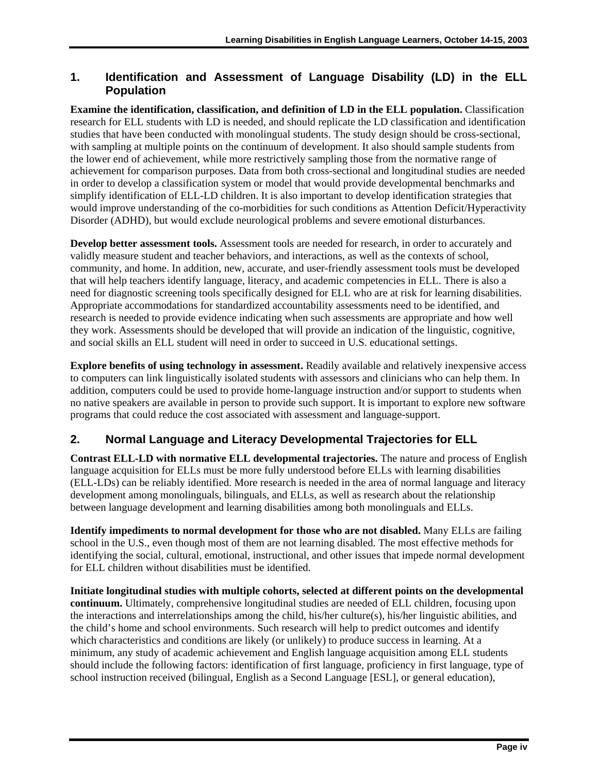#### **1. Identification and Assessment of Language Disability (LD) in the ELL Population**

**Examine the identification, classification, and definition of LD in the ELL population.** Classification research for ELL students with LD is needed, and should replicate the LD classification and identification studies that have been conducted with monolingual students. The study design should be cross-sectional, with sampling at multiple points on the continuum of development. It also should sample students from the lower end of achievement, while more restrictively sampling those from the normative range of achievement for comparison purposes. Data from both cross-sectional and longitudinal studies are needed in order to develop a classification system or model that would provide developmental benchmarks and simplify identification of ELL-LD children. It is also important to develop identification strategies that would improve understanding of the co-morbidities for such conditions as Attention Deficit/Hyperactivity Disorder (ADHD), but would exclude neurological problems and severe emotional disturbances.

**Develop better assessment tools.** Assessment tools are needed for research, in order to accurately and validly measure student and teacher behaviors, and interactions, as well as the contexts of school, community, and home. In addition, new, accurate, and user-friendly assessment tools must be developed that will help teachers identify language, literacy, and academic competencies in ELL. There is also a need for diagnostic screening tools specifically designed for ELL who are at risk for learning disabilities. Appropriate accommodations for standardized accountability assessments need to be identified, and research is needed to provide evidence indicating when such assessments are appropriate and how well they work. Assessments should be developed that will provide an indication of the linguistic, cognitive, and social skills an ELL student will need in order to succeed in U.S. educational settings.

**Explore benefits of using technology in assessment.** Readily available and relatively inexpensive access to computers can link linguistically isolated students with assessors and clinicians who can help them. In addition, computers could be used to provide home-language instruction and/or support to students when no native speakers are available in person to provide such support. It is important to explore new software programs that could reduce the cost associated with assessment and language-support.

#### **2. Normal Language and Literacy Developmental Trajectories for ELL**

**Contrast ELL-LD with normative ELL developmental trajectories.** The nature and process of English language acquisition for ELLs must be more fully understood before ELLs with learning disabilities (ELL-LDs) can be reliably identified. More research is needed in the area of normal language and literacy development among monolinguals, bilinguals, and ELLs, as well as research about the relationship between language development and learning disabilities among both monolinguals and ELLs.

**Identify impediments to normal development for those who are not disabled.** Many ELLs are failing school in the U.S., even though most of them are not learning disabled. The most effective methods for identifying the social, cultural, emotional, instructional, and other issues that impede normal development for ELL children without disabilities must be identified.

**Initiate longitudinal studies with multiple cohorts, selected at different points on the developmental continuum.** Ultimately, comprehensive longitudinal studies are needed of ELL children, focusing upon the interactions and interrelationships among the child, his/her culture(s), his/her linguistic abilities, and the child's home and school environments. Such research will help to predict outcomes and identify which characteristics and conditions are likely (or unlikely) to produce success in learning. At a minimum, any study of academic achievement and English language acquisition among ELL students should include the following factors: identification of first language, proficiency in first language, type of school instruction received (bilingual, English as a Second Language [ESL], or general education),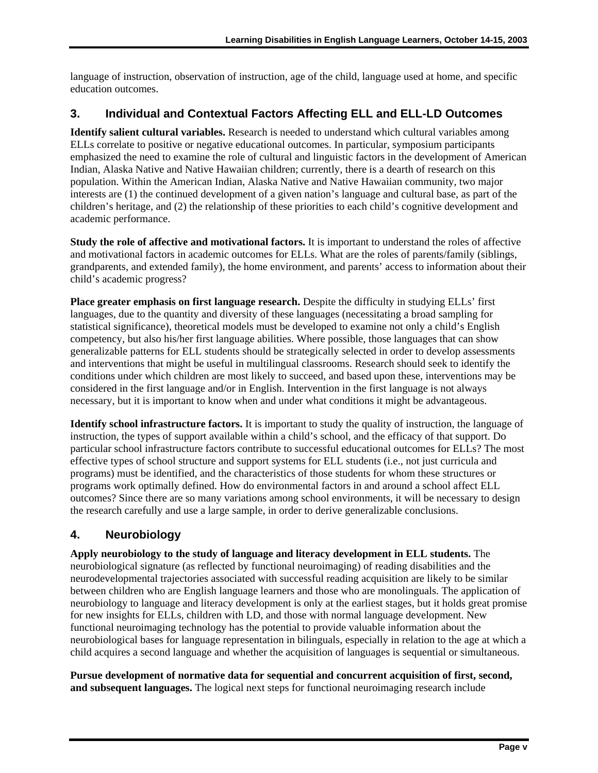language of instruction, observation of instruction, age of the child, language used at home, and specific education outcomes.

#### **3. Individual and Contextual Factors Affecting ELL and ELL-LD Outcomes**

**Identify salient cultural variables.** Research is needed to understand which cultural variables among ELLs correlate to positive or negative educational outcomes. In particular, symposium participants emphasized the need to examine the role of cultural and linguistic factors in the development of American Indian, Alaska Native and Native Hawaiian children; currently, there is a dearth of research on this population. Within the American Indian, Alaska Native and Native Hawaiian community, two major interests are (1) the continued development of a given nation's language and cultural base, as part of the children's heritage, and (2) the relationship of these priorities to each child's cognitive development and academic performance.

**Study the role of affective and motivational factors.** It is important to understand the roles of affective and motivational factors in academic outcomes for ELLs. What are the roles of parents/family (siblings, grandparents, and extended family), the home environment, and parents' access to information about their child's academic progress?

**Place greater emphasis on first language research.** Despite the difficulty in studying ELLs' first languages, due to the quantity and diversity of these languages (necessitating a broad sampling for statistical significance), theoretical models must be developed to examine not only a child's English competency, but also his/her first language abilities. Where possible, those languages that can show generalizable patterns for ELL students should be strategically selected in order to develop assessments and interventions that might be useful in multilingual classrooms. Research should seek to identify the conditions under which children are most likely to succeed, and based upon these, interventions may be considered in the first language and/or in English. Intervention in the first language is not always necessary, but it is important to know when and under what conditions it might be advantageous.

**Identify school infrastructure factors.** It is important to study the quality of instruction, the language of instruction, the types of support available within a child's school, and the efficacy of that support. Do particular school infrastructure factors contribute to successful educational outcomes for ELLs? The most effective types of school structure and support systems for ELL students (i.e., not just curricula and programs) must be identified, and the characteristics of those students for whom these structures or programs work optimally defined. How do environmental factors in and around a school affect ELL outcomes? Since there are so many variations among school environments, it will be necessary to design the research carefully and use a large sample, in order to derive generalizable conclusions.

#### **4. Neurobiology**

**Apply neurobiology to the study of language and literacy development in ELL students.** The neurobiological signature (as reflected by functional neuroimaging) of reading disabilities and the neurodevelopmental trajectories associated with successful reading acquisition are likely to be similar between children who are English language learners and those who are monolinguals. The application of neurobiology to language and literacy development is only at the earliest stages, but it holds great promise for new insights for ELLs, children with LD, and those with normal language development. New functional neuroimaging technology has the potential to provide valuable information about the neurobiological bases for language representation in bilinguals, especially in relation to the age at which a child acquires a second language and whether the acquisition of languages is sequential or simultaneous.

**Pursue development of normative data for sequential and concurrent acquisition of first, second, and subsequent languages.** The logical next steps for functional neuroimaging research include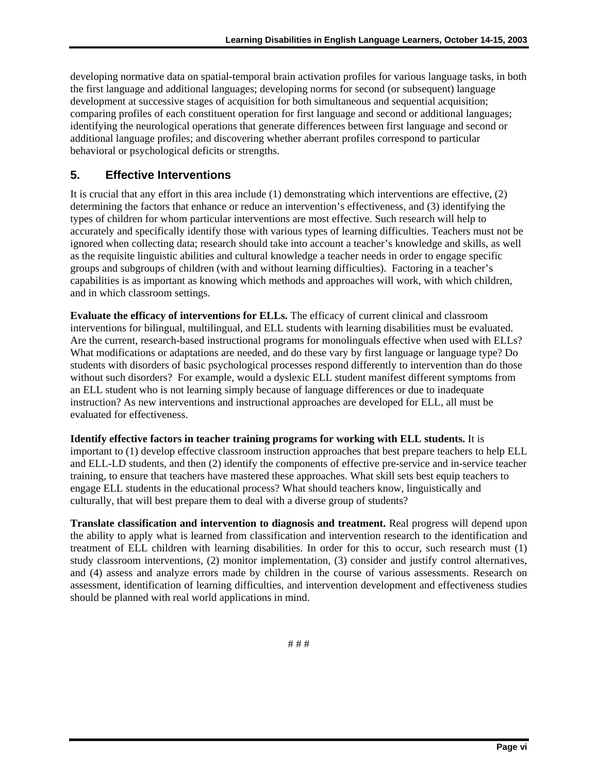developing normative data on spatial-temporal brain activation profiles for various language tasks, in both the first language and additional languages; developing norms for second (or subsequent) language development at successive stages of acquisition for both simultaneous and sequential acquisition; comparing profiles of each constituent operation for first language and second or additional languages; identifying the neurological operations that generate differences between first language and second or additional language profiles; and discovering whether aberrant profiles correspond to particular behavioral or psychological deficits or strengths.

#### **5. Effective Interventions**

It is crucial that any effort in this area include (1) demonstrating which interventions are effective, (2) determining the factors that enhance or reduce an intervention's effectiveness, and (3) identifying the types of children for whom particular interventions are most effective. Such research will help to accurately and specifically identify those with various types of learning difficulties. Teachers must not be ignored when collecting data; research should take into account a teacher's knowledge and skills, as well as the requisite linguistic abilities and cultural knowledge a teacher needs in order to engage specific groups and subgroups of children (with and without learning difficulties). Factoring in a teacher's capabilities is as important as knowing which methods and approaches will work, with which children, and in which classroom settings.

 evaluated for effectiveness. **Evaluate the efficacy of interventions for ELLs.** The efficacy of current clinical and classroom interventions for bilingual, multilingual, and ELL students with learning disabilities must be evaluated. Are the current, research-based instructional programs for monolinguals effective when used with ELLs? What modifications or adaptations are needed, and do these vary by first language or language type? Do students with disorders of basic psychological processes respond differently to intervention than do those without such disorders? For example, would a dyslexic ELL student manifest different symptoms from an ELL student who is not learning simply because of language differences or due to inadequate instruction? As new interventions and instructional approaches are developed for ELL, all must be

**Identify effective factors in teacher training programs for working with ELL students.** It is important to (1) develop effective classroom instruction approaches that best prepare teachers to help ELL and ELL-LD students, and then (2) identify the components of effective pre-service and in-service teacher training, to ensure that teachers have mastered these approaches. What skill sets best equip teachers to engage ELL students in the educational process? What should teachers know, linguistically and culturally, that will best prepare them to deal with a diverse group of students?

**Translate classification and intervention to diagnosis and treatment.** Real progress will depend upon the ability to apply what is learned from classification and intervention research to the identification and treatment of ELL children with learning disabilities. In order for this to occur, such research must (1) study classroom interventions, (2) monitor implementation, (3) consider and justify control alternatives, and (4) assess and analyze errors made by children in the course of various assessments. Research on assessment, identification of learning difficulties, and intervention development and effectiveness studies should be planned with real world applications in mind.

# # #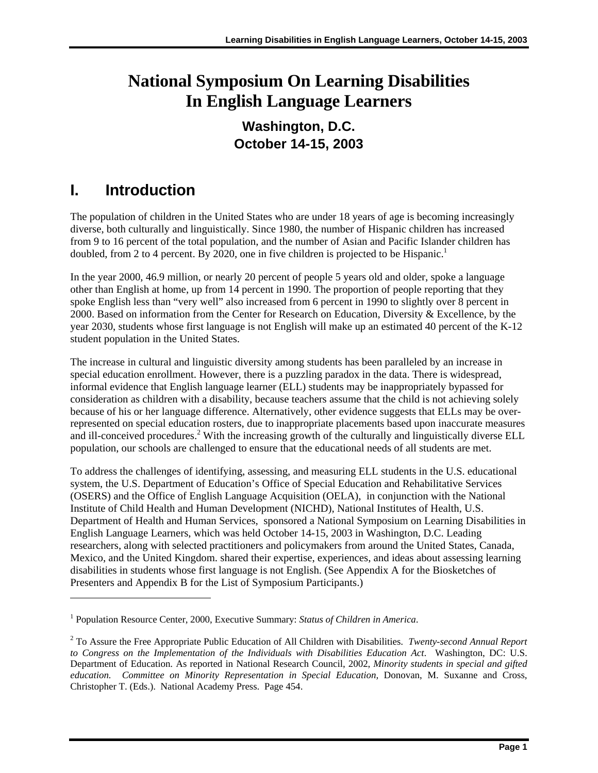# <span id="page-7-0"></span>**National Symposium On Learning Disabilities In English Language Learners**

### **Washington, D.C. October 14-15, 2003**

# **I. Introduction**

 $\overline{a}$ 

doubled, from 2 to 4 percent. By 2020, one in five children is projected to be Hispanic.<sup>1</sup> The population of children in the United States who are under 18 years of age is becoming increasingly diverse, both culturally and linguistically. Since 1980, the number of Hispanic children has increased from 9 to 16 percent of the total population, and the number of Asian and Pacific Islander children has

In the year 2000, 46.9 million, or nearly 20 percent of people 5 years old and older, spoke a language other than English at home, up from 14 percent in 1990. The proportion of people reporting that they spoke English less than "very well" also increased from 6 percent in 1990 to slightly over 8 percent in 2000. Based on information from the Center for Research on Education, Diversity & Excellence, by the year 2030, students whose first language is not English will make up an estimated 40 percent of the K-12 student population in the United States.

The increase in cultural and linguistic diversity among students has been paralleled by an increase in special education enrollment. However, there is a puzzling paradox in the data. There is widespread, informal evidence that English language learner (ELL) students may be inappropriately bypassed for consideration as children with a disability, because teachers assume that the child is not achieving solely because of his or her language difference. Alternatively, other evidence suggests that ELLs may be overrepresented on special education rosters, due to inappropriate placements based upon inaccurate measures and ill-conceived procedures.<sup>[2](#page-7-2)</sup> With the increasing growth of the culturally and linguistically diverse ELL population, our schools are challenged to ensure that the educational needs of all students are met.

To address the challenges of identifying, assessing, and measuring ELL students in the U.S. educational system, the U.S. Department of Education's Office of Special Education and Rehabilitative Services (OSERS) and the Office of English Language Acquisition (OELA), in conjunction with the National Institute of Child Health and Human Development (NICHD), National Institutes of Health, U.S. Department of Health and Human Services, sponsored a National Symposium on Learning Disabilities in English Language Learners, which was held October 14-15, 2003 in Washington, D.C. Leading researchers, along with selected practitioners and policymakers from around the United States, Canada, Mexico, and the United Kingdom. shared their expertise, experiences, and ideas about assessing learning disabilities in students whose first language is not English. (See Appendix A for the Biosketches of Presenters and Appendix B for the List of Symposium Participants.)

<span id="page-7-1"></span><sup>&</sup>lt;sup>1</sup> Population Resource Center, 2000, Executive Summary: *Status of Children in America*.

<span id="page-7-2"></span><sup>2</sup> To Assure the Free Appropriate Public Education of All Children with Disabilities. *Twenty-second Annual Report to Congress on the Implementation of the Individuals with Disabilities Education Act*. Washington, DC: U.S. Department of Education. As reported in National Research Council, 2002, *Minority students in special and gifted education. Committee on Minority Representation in Special Education,* Donovan, M. Suxanne and Cross, Christopher T. (Eds.). National Academy Press. Page 454.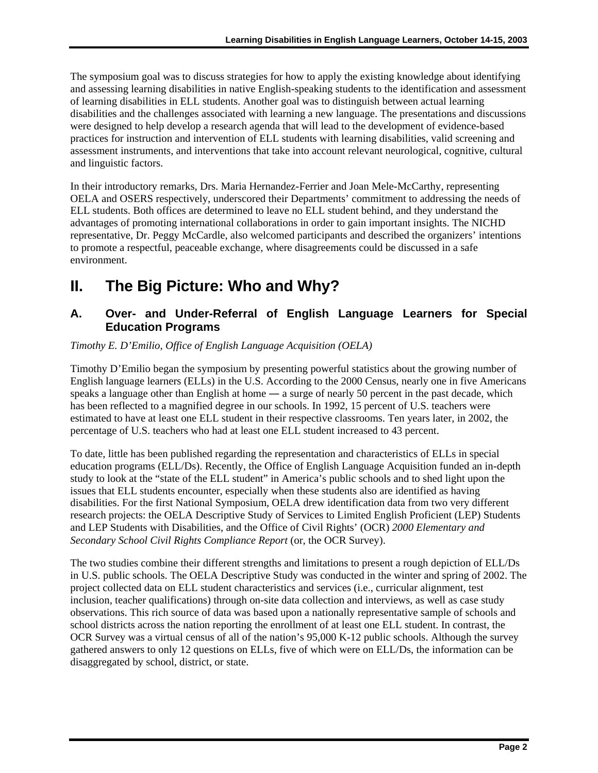<span id="page-8-0"></span>The symposium goal was to discuss strategies for how to apply the existing knowledge about identifying and assessing learning disabilities in native English-speaking students to the identification and assessment of learning disabilities in ELL students. Another goal was to distinguish between actual learning disabilities and the challenges associated with learning a new language. The presentations and discussions were designed to help develop a research agenda that will lead to the development of evidence-based practices for instruction and intervention of ELL students with learning disabilities, valid screening and assessment instruments, and interventions that take into account relevant neurological, cognitive, cultural and linguistic factors.

In their introductory remarks, Drs. Maria Hernandez-Ferrier and Joan Mele-McCarthy, representing OELA and OSERS respectively, underscored their Departments' commitment to addressing the needs of ELL students. Both offices are determined to leave no ELL student behind, and they understand the advantages of promoting international collaborations in order to gain important insights. The NICHD representative, Dr. Peggy McCardle, also welcomed participants and described the organizers' intentions to promote a respectful, peaceable exchange, where disagreements could be discussed in a safe environment.

# **II. The Big Picture: Who and Why?**

#### **A. Over- and Under-Referral of English Language Learners for Special Education Programs**

#### *Timothy E. D'Emilio, Office of English Language Acquisition (OELA)*

Timothy D'Emilio began the symposium by presenting powerful statistics about the growing number of English language learners (ELLs) in the U.S. According to the 2000 Census, nearly one in five Americans speaks a language other than English at home — a surge of nearly 50 percent in the past decade, which has been reflected to a magnified degree in our schools. In 1992, 15 percent of U.S. teachers were estimated to have at least one ELL student in their respective classrooms. Ten years later, in 2002, the percentage of U.S. teachers who had at least one ELL student increased to 43 percent.

To date, little has been published regarding the representation and characteristics of ELLs in special education programs (ELL/Ds). Recently, the Office of English Language Acquisition funded an in-depth study to look at the "state of the ELL student" in America's public schools and to shed light upon the issues that ELL students encounter, especially when these students also are identified as having disabilities. For the first National Symposium, OELA drew identification data from two very different research projects: the OELA Descriptive Study of Services to Limited English Proficient (LEP) Students and LEP Students with Disabilities, and the Office of Civil Rights' (OCR) *2000 Elementary and Secondary School Civil Rights Compliance Report* (or, the OCR Survey).

The two studies combine their different strengths and limitations to present a rough depiction of ELL/Ds in U.S. public schools. The OELA Descriptive Study was conducted in the winter and spring of 2002. The project collected data on ELL student characteristics and services (i.e., curricular alignment, test inclusion, teacher qualifications) through on-site data collection and interviews, as well as case study observations. This rich source of data was based upon a nationally representative sample of schools and school districts across the nation reporting the enrollment of at least one ELL student. In contrast, the OCR Survey was a virtual census of all of the nation's 95,000 K-12 public schools. Although the survey gathered answers to only 12 questions on ELLs, five of which were on ELL/Ds, the information can be disaggregated by school, district, or state.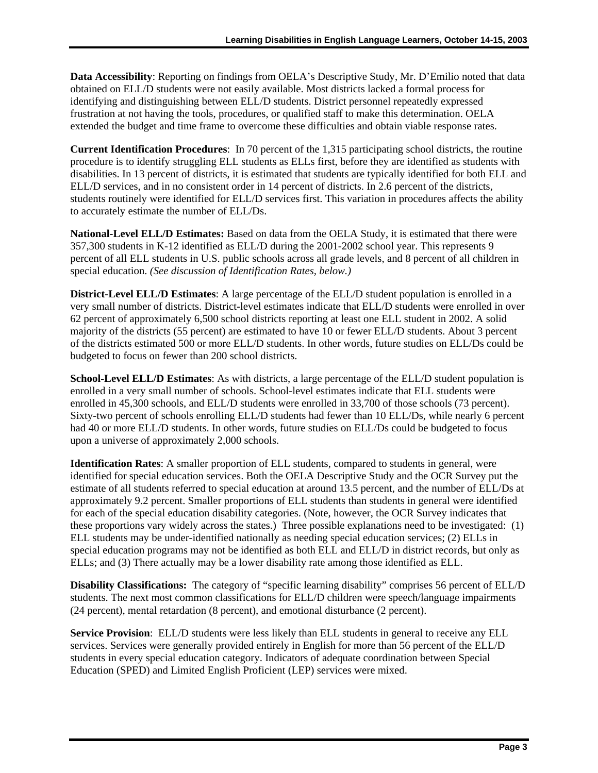**Data Accessibility**: Reporting on findings from OELA's Descriptive Study, Mr. D'Emilio noted that data obtained on ELL/D students were not easily available. Most districts lacked a formal process for identifying and distinguishing between ELL/D students. District personnel repeatedly expressed frustration at not having the tools, procedures, or qualified staff to make this determination. OELA extended the budget and time frame to overcome these difficulties and obtain viable response rates.

**Current Identification Procedures**: In 70 percent of the 1,315 participating school districts, the routine procedure is to identify struggling ELL students as ELLs first, before they are identified as students with disabilities. In 13 percent of districts, it is estimated that students are typically identified for both ELL and ELL/D services, and in no consistent order in 14 percent of districts. In 2.6 percent of the districts, students routinely were identified for ELL/D services first. This variation in procedures affects the ability to accurately estimate the number of ELL/Ds.

**National-Level ELL/D Estimates:** Based on data from the OELA Study, it is estimated that there were 357,300 students in K-12 identified as ELL/D during the 2001-2002 school year. This represents 9 percent of all ELL students in U.S. public schools across all grade levels, and 8 percent of all children in special education. *(See discussion of Identification Rates, below.)* 

**District-Level ELL/D Estimates**: A large percentage of the ELL/D student population is enrolled in a very small number of districts. District-level estimates indicate that ELL/D students were enrolled in over 62 percent of approximately 6,500 school districts reporting at least one ELL student in 2002. A solid majority of the districts (55 percent) are estimated to have 10 or fewer ELL/D students. About 3 percent of the districts estimated 500 or more ELL/D students. In other words, future studies on ELL/Ds could be budgeted to focus on fewer than 200 school districts.

**School-Level ELL/D Estimates**: As with districts, a large percentage of the ELL/D student population is enrolled in a very small number of schools. School-level estimates indicate that ELL students were enrolled in 45,300 schools, and ELL/D students were enrolled in 33,700 of those schools (73 percent). Sixty-two percent of schools enrolling ELL/D students had fewer than 10 ELL/Ds, while nearly 6 percent had 40 or more ELL/D students. In other words, future studies on ELL/Ds could be budgeted to focus upon a universe of approximately 2,000 schools.

**Identification Rates**: A smaller proportion of ELL students, compared to students in general, were identified for special education services. Both the OELA Descriptive Study and the OCR Survey put the estimate of all students referred to special education at around 13.5 percent, and the number of ELL/Ds at approximately 9.2 percent. Smaller proportions of ELL students than students in general were identified for each of the special education disability categories. (Note, however, the OCR Survey indicates that these proportions vary widely across the states.) Three possible explanations need to be investigated: (1) ELL students may be under-identified nationally as needing special education services; (2) ELLs in special education programs may not be identified as both ELL and ELL/D in district records, but only as ELLs; and (3) There actually may be a lower disability rate among those identified as ELL.

**Disability Classifications:** The category of "specific learning disability" comprises 56 percent of ELL/D students. The next most common classifications for ELL/D children were speech/language impairments (24 percent), mental retardation (8 percent), and emotional disturbance (2 percent).

**Service Provision**: ELL/D students were less likely than ELL students in general to receive any ELL services. Services were generally provided entirely in English for more than 56 percent of the ELL/D students in every special education category. Indicators of adequate coordination between Special Education (SPED) and Limited English Proficient (LEP) services were mixed.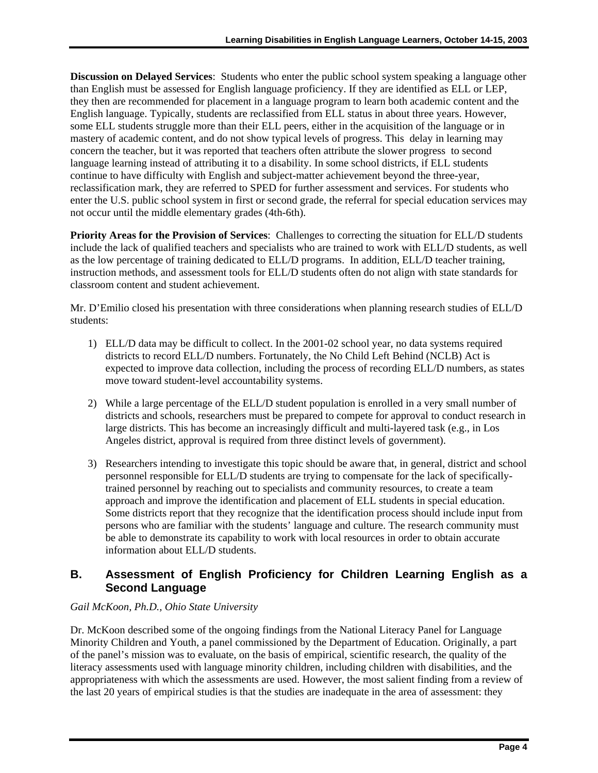**Discussion on Delayed Services**: Students who enter the public school system speaking a language other than English must be assessed for English language proficiency. If they are identified as ELL or LEP, they then are recommended for placement in a language program to learn both academic content and the English language. Typically, students are reclassified from ELL status in about three years. However, some ELL students struggle more than their ELL peers, either in the acquisition of the language or in mastery of academic content, and do not show typical levels of progress. This delay in learning may concern the teacher, but it was reported that teachers often attribute the slower progress to second language learning instead of attributing it to a disability. In some school districts, if ELL students continue to have difficulty with English and subject-matter achievement beyond the three-year, reclassification mark, they are referred to SPED for further assessment and services. For students who enter the U.S. public school system in first or second grade, the referral for special education services may not occur until the middle elementary grades (4th-6th).

**Priority Areas for the Provision of Services**: Challenges to correcting the situation for ELL/D students include the lack of qualified teachers and specialists who are trained to work with ELL/D students, as well as the low percentage of training dedicated to ELL/D programs. In addition, ELL/D teacher training, instruction methods, and assessment tools for ELL/D students often do not align with state standards for classroom content and student achievement.

Mr. D'Emilio closed his presentation with three considerations when planning research studies of ELL/D students:

- 1) ELL/D data may be difficult to collect. In the 2001-02 school year, no data systems required districts to record ELL/D numbers. Fortunately, the No Child Left Behind (NCLB) Act is expected to improve data collection, including the process of recording ELL/D numbers, as states move toward student-level accountability systems.
- 2) While a large percentage of the ELL/D student population is enrolled in a very small number of districts and schools, researchers must be prepared to compete for approval to conduct research in large districts. This has become an increasingly difficult and multi-layered task (e.g., in Los Angeles district, approval is required from three distinct levels of government).
- 3) Researchers intending to investigate this topic should be aware that, in general, district and school personnel responsible for ELL/D students are trying to compensate for the lack of specificallytrained personnel by reaching out to specialists and community resources, to create a team approach and improve the identification and placement of ELL students in special education. Some districts report that they recognize that the identification process should include input from persons who are familiar with the students' language and culture. The research community must be able to demonstrate its capability to work with local resources in order to obtain accurate information about ELL/D students.

#### **B. Assessment of English Proficiency for Children Learning English as a Second Language**

#### *Gail McKoon, Ph.D., Ohio State University*

Dr. McKoon described some of the ongoing findings from the National Literacy Panel for Language Minority Children and Youth, a panel commissioned by the Department of Education. Originally, a part of the panel's mission was to evaluate, on the basis of empirical, scientific research, the quality of the literacy assessments used with language minority children, including children with disabilities, and the appropriateness with which the assessments are used. However, the most salient finding from a review of the last 20 years of empirical studies is that the studies are inadequate in the area of assessment: they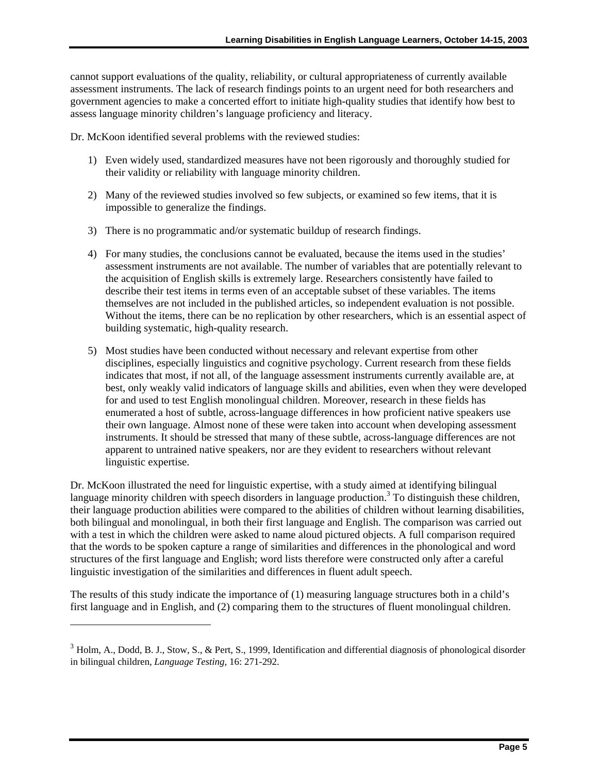cannot support evaluations of the quality, reliability, or cultural appropriateness of currently available assessment instruments. The lack of research findings points to an urgent need for both researchers and government agencies to make a concerted effort to initiate high-quality studies that identify how best to assess language minority children's language proficiency and literacy.

Dr. McKoon identified several problems with the reviewed studies:

- their validity or reliability with language minority children. 1) Even widely used, standardized measures have not been rigorously and thoroughly studied for
- 2) Many of the reviewed studies involved so few subjects, or examined so few items, that it is impossible to generalize the findings.
- 3) There is no programmatic and/or systematic buildup of research findings.
- 4) For many studies, the conclusions cannot be evaluated, because the items used in the studies' assessment instruments are not available. The number of variables that are potentially relevant to the acquisition of English skills is extremely large. Researchers consistently have failed to describe their test items in terms even of an acceptable subset of these variables. The items themselves are not included in the published articles, so independent evaluation is not possible. Without the items, there can be no replication by other researchers, which is an essential aspect of building systematic, high-quality research.
- 5) Most studies have been conducted without necessary and relevant expertise from other disciplines, especially linguistics and cognitive psychology. Current research from these fields indicates that most, if not all, of the language assessment instruments currently available are, at best, only weakly valid indicators of language skills and abilities, even when they were developed for and used to test English monolingual children. Moreover, research in these fields has enumerated a host of subtle, across-language differences in how proficient native speakers use their own language. Almost none of these were taken into account when developing assessment instruments. It should be stressed that many of these subtle, across-language differences are not apparent to untrained native speakers, nor are they evident to researchers without relevant linguistic expertise.

Dr. McKoon illustrated the need for linguistic expertise, with a study aimed at identifying bilingual language minority children with speech disorders in language production.<sup>3</sup> To distinguish these children, their language production abilities were compared to the abilities of children without learning disabilities, both bilingual and monolingual, in both their first language and English. The comparison was carried out with a test in which the children were asked to name aloud pictured objects. A full comparison required that the words to be spoken capture a range of similarities and differences in the phonological and word structures of the first language and English; word lists therefore were constructed only after a careful linguistic investigation of the similarities and differences in fluent adult speech.

The results of this study indicate the importance of (1) measuring language structures both in a child's first language and in English, and (2) comparing them to the structures of fluent monolingual children.

-

<span id="page-11-0"></span><sup>&</sup>lt;sup>3</sup> Holm, A., Dodd, B. J., Stow, S., & Pert, S., 1999, Identification and differential diagnosis of phonological disorder in bilingual children, *Language Testing,* 16: 271-292.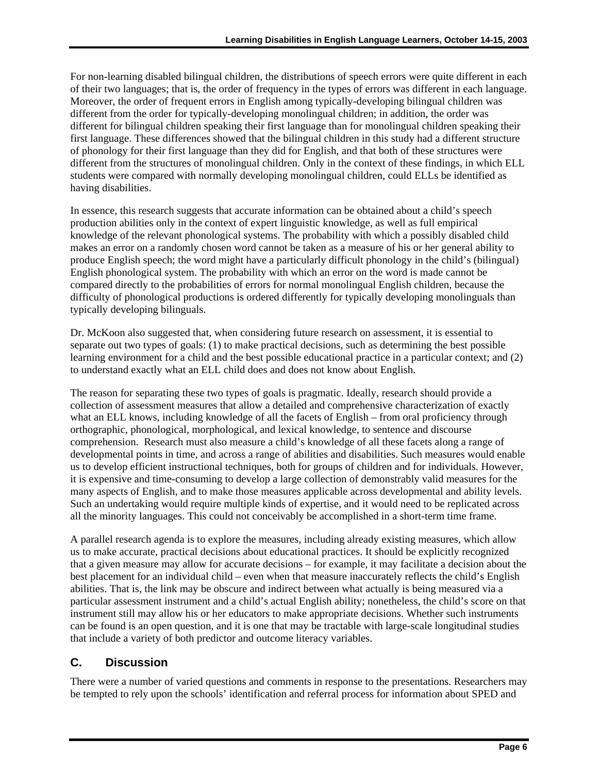For non-learning disabled bilingual children, the distributions of speech errors were quite different in each of their two languages; that is, the order of frequency in the types of errors was different in each language. Moreover, the order of frequent errors in English among typically-developing bilingual children was different from the order for typically-developing monolingual children; in addition, the order was different for bilingual children speaking their first language than for monolingual children speaking their first language. These differences showed that the bilingual children in this study had a different structure of phonology for their first language than they did for English, and that both of these structures were different from the structures of monolingual children. Only in the context of these findings, in which ELL students were compared with normally developing monolingual children, could ELLs be identified as having disabilities.

In essence, this research suggests that accurate information can be obtained about a child's speech production abilities only in the context of expert linguistic knowledge, as well as full empirical knowledge of the relevant phonological systems. The probability with which a possibly disabled child makes an error on a randomly chosen word cannot be taken as a measure of his or her general ability to produce English speech; the word might have a particularly difficult phonology in the child's (bilingual) English phonological system. The probability with which an error on the word is made cannot be compared directly to the probabilities of errors for normal monolingual English children, because the difficulty of phonological productions is ordered differently for typically developing monolinguals than typically developing bilinguals.

Dr. McKoon also suggested that, when considering future research on assessment, it is essential to separate out two types of goals: (1) to make practical decisions, such as determining the best possible learning environment for a child and the best possible educational practice in a particular context; and (2) to understand exactly what an ELL child does and does not know about English.

The reason for separating these two types of goals is pragmatic. Ideally, research should provide a collection of assessment measures that allow a detailed and comprehensive characterization of exactly what an ELL knows, including knowledge of all the facets of English – from oral proficiency through orthographic, phonological, morphological, and lexical knowledge, to sentence and discourse comprehension. Research must also measure a child's knowledge of all these facets along a range of developmental points in time, and across a range of abilities and disabilities. Such measures would enable us to develop efficient instructional techniques, both for groups of children and for individuals. However, it is expensive and time-consuming to develop a large collection of demonstrably valid measures for the many aspects of English, and to make those measures applicable across developmental and ability levels. Such an undertaking would require multiple kinds of expertise, and it would need to be replicated across all the minority languages. This could not conceivably be accomplished in a short-term time frame.

A parallel research agenda is to explore the measures, including already existing measures, which allow us to make accurate, practical decisions about educational practices. It should be explicitly recognized that a given measure may allow for accurate decisions – for example, it may facilitate a decision about the best placement for an individual child – even when that measure inaccurately reflects the child's English abilities. That is, the link may be obscure and indirect between what actually is being measured via a particular assessment instrument and a child's actual English ability; nonetheless, the child's score on that instrument still may allow his or her educators to make appropriate decisions. Whether such instruments can be found is an open question, and it is one that may be tractable with large-scale longitudinal studies that include a variety of both predictor and outcome literacy variables.

#### **C. Discussion**

There were a number of varied questions and comments in response to the presentations. Researchers may be tempted to rely upon the schools' identification and referral process for information about SPED and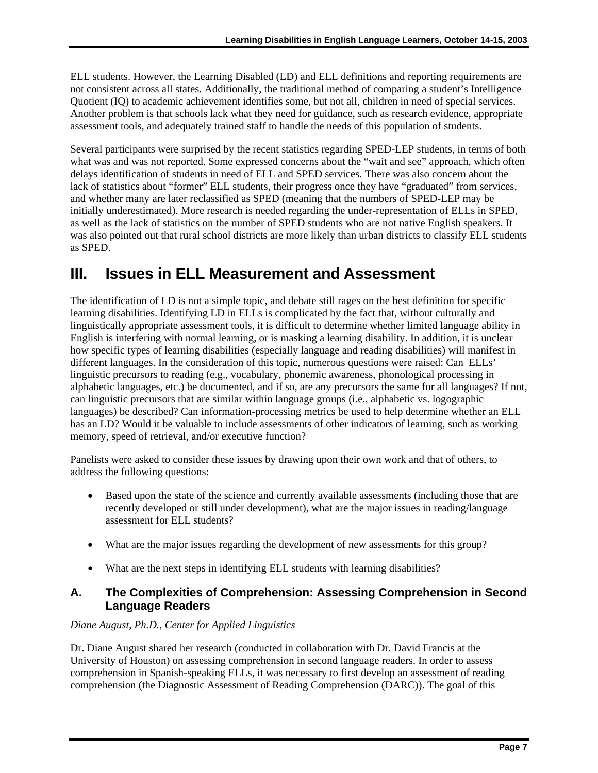<span id="page-13-0"></span>ELL students. However, the Learning Disabled (LD) and ELL definitions and reporting requirements are not consistent across all states. Additionally, the traditional method of comparing a student's Intelligence Quotient (IQ) to academic achievement identifies some, but not all, children in need of special services. Another problem is that schools lack what they need for guidance, such as research evidence, appropriate assessment tools, and adequately trained staff to handle the needs of this population of students.

Several participants were surprised by the recent statistics regarding SPED-LEP students, in terms of both what was and was not reported. Some expressed concerns about the "wait and see" approach, which often delays identification of students in need of ELL and SPED services. There was also concern about the lack of statistics about "former" ELL students, their progress once they have "graduated" from services, and whether many are later reclassified as SPED (meaning that the numbers of SPED-LEP may be initially underestimated). More research is needed regarding the under-representation of ELLs in SPED, as well as the lack of statistics on the number of SPED students who are not native English speakers. It was also pointed out that rural school districts are more likely than urban districts to classify ELL students as SPED.

### **III. Issues in ELL Measurement and Assessment**

memory, speed of retrieval, and/or executive function? The identification of LD is not a simple topic, and debate still rages on the best definition for specific learning disabilities. Identifying LD in ELLs is complicated by the fact that, without culturally and linguistically appropriate assessment tools, it is difficult to determine whether limited language ability in English is interfering with normal learning, or is masking a learning disability. In addition, it is unclear how specific types of learning disabilities (especially language and reading disabilities) will manifest in different languages. In the consideration of this topic, numerous questions were raised: Can ELLs' linguistic precursors to reading (e.g., vocabulary, phonemic awareness, phonological processing in alphabetic languages, etc.) be documented, and if so, are any precursors the same for all languages? If not, can linguistic precursors that are similar within language groups (i.e., alphabetic vs. logographic languages) be described? Can information-processing metrics be used to help determine whether an ELL has an LD? Would it be valuable to include assessments of other indicators of learning, such as working

Panelists were asked to consider these issues by drawing upon their own work and that of others, to address the following questions:

- Based upon the state of the science and currently available assessments (including those that are recently developed or still under development), what are the major issues in reading/language assessment for ELL students?
- What are the major issues regarding the development of new assessments for this group?
- What are the next steps in identifying ELL students with learning disabilities?

#### **A. The Complexities of Comprehension: Assessing Comprehension in Second Language Readers**

#### *Diane August, Ph.D., Center for Applied Linguistics*

Dr. Diane August shared her research (conducted in collaboration with Dr. David Francis at the University of Houston) on assessing comprehension in second language readers. In order to assess comprehension in Spanish-speaking ELLs, it was necessary to first develop an assessment of reading comprehension (the Diagnostic Assessment of Reading Comprehension (DARC)). The goal of this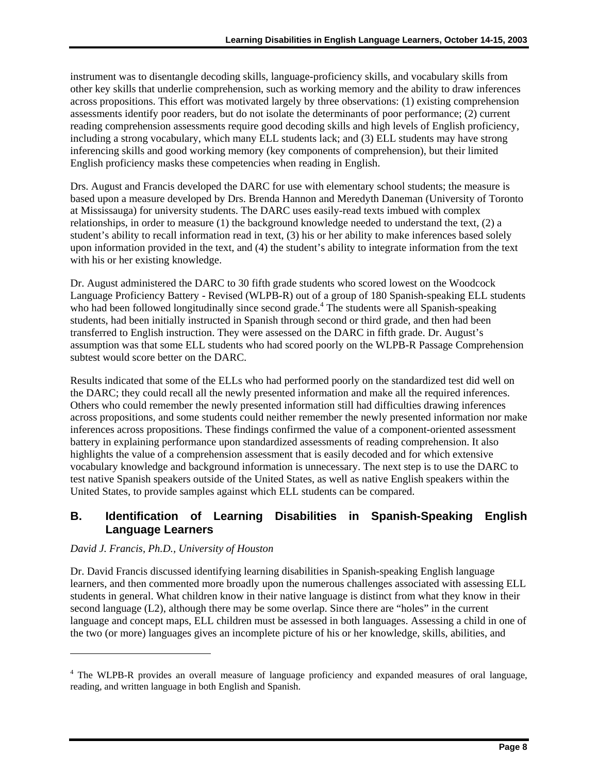instrument was to disentangle decoding skills, language-proficiency skills, and vocabulary skills from other key skills that underlie comprehension, such as working memory and the ability to draw inferences across propositions. This effort was motivated largely by three observations: (1) existing comprehension assessments identify poor readers, but do not isolate the determinants of poor performance; (2) current reading comprehension assessments require good decoding skills and high levels of English proficiency, including a strong vocabulary, which many ELL students lack; and (3) ELL students may have strong inferencing skills and good working memory (key components of comprehension), but their limited English proficiency masks these competencies when reading in English.

Drs. August and Francis developed the DARC for use with elementary school students; the measure is based upon a measure developed by Drs. Brenda Hannon and Meredyth Daneman (University of Toronto at Mississauga) for university students. The DARC uses easily-read texts imbued with complex relationships, in order to measure (1) the background knowledge needed to understand the text, (2) a student's ability to recall information read in text, (3) his or her ability to make inferences based solely upon information provided in the text, and (4) the student's ability to integrate information from the text with his or her existing knowledge.

Dr. August administered the DARC to 30 fifth grade students who scored lowest on the Woodcock Language Proficiency Battery - Revised (WLPB-R) out of a group of 180 Spanish-speaking ELL students who had been followed longitudinally since second grade.<sup>[4](#page-14-0)</sup> The students were all Spanish-speaking students, had been initially instructed in Spanish through second or third grade, and then had been transferred to English instruction. They were assessed on the DARC in fifth grade. Dr. August's assumption was that some ELL students who had scored poorly on the WLPB-R Passage Comprehension subtest would score better on the DARC.

Results indicated that some of the ELLs who had performed poorly on the standardized test did well on the DARC; they could recall all the newly presented information and make all the required inferences. Others who could remember the newly presented information still had difficulties drawing inferences across propositions, and some students could neither remember the newly presented information nor make inferences across propositions. These findings confirmed the value of a component-oriented assessment battery in explaining performance upon standardized assessments of reading comprehension. It also highlights the value of a comprehension assessment that is easily decoded and for which extensive vocabulary knowledge and background information is unnecessary. The next step is to use the DARC to test native Spanish speakers outside of the United States, as well as native English speakers within the United States, to provide samples against which ELL students can be compared.

#### **B. Identification of Learning Disabilities in Spanish-Speaking English Language Learners**

#### *David J. Francis, Ph.D., University of Houston*

-

 students in general. What children know in their native language is distinct from what they know in their Dr. David Francis discussed identifying learning disabilities in Spanish-speaking English language learners, and then commented more broadly upon the numerous challenges associated with assessing ELL second language (L2), although there may be some overlap. Since there are "holes" in the current language and concept maps, ELL children must be assessed in both languages. Assessing a child in one of the two (or more) languages gives an incomplete picture of his or her knowledge, skills, abilities, and

<span id="page-14-0"></span><sup>&</sup>lt;sup>4</sup> The WLPB-R provides an overall measure of language proficiency and expanded measures of oral language, reading, and written language in both English and Spanish.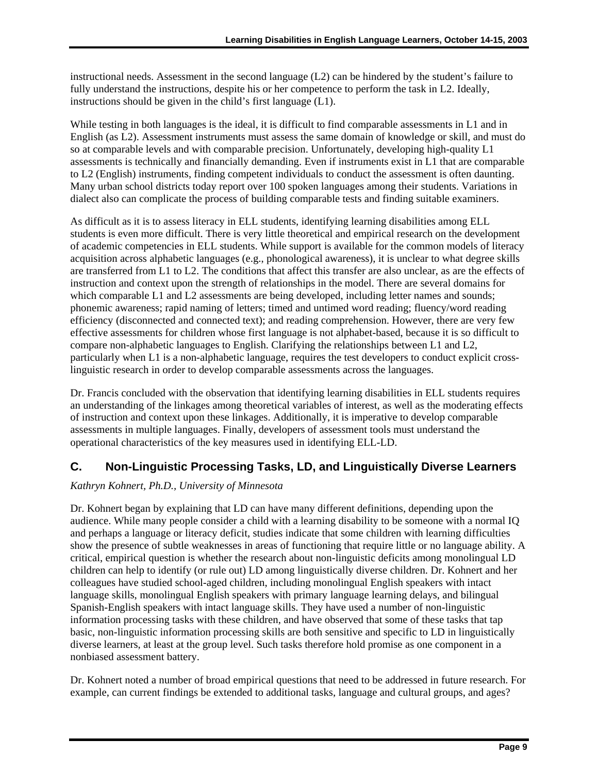instructional needs. Assessment in the second language (L2) can be hindered by the student's failure to fully understand the instructions, despite his or her competence to perform the task in L2. Ideally, instructions should be given in the child's first language (L1).

While testing in both languages is the ideal, it is difficult to find comparable assessments in L1 and in English (as L2). Assessment instruments must assess the same domain of knowledge or skill, and must do so at comparable levels and with comparable precision. Unfortunately, developing high-quality L1 assessments is technically and financially demanding. Even if instruments exist in L1 that are comparable to L2 (English) instruments, finding competent individuals to conduct the assessment is often daunting. Many urban school districts today report over 100 spoken languages among their students. Variations in dialect also can complicate the process of building comparable tests and finding suitable examiners.

As difficult as it is to assess literacy in ELL students, identifying learning disabilities among ELL students is even more difficult. There is very little theoretical and empirical research on the development of academic competencies in ELL students. While support is available for the common models of literacy acquisition across alphabetic languages (e.g., phonological awareness), it is unclear to what degree skills are transferred from L1 to L2. The conditions that affect this transfer are also unclear, as are the effects of instruction and context upon the strength of relationships in the model. There are several domains for which comparable L1 and L2 assessments are being developed, including letter names and sounds; phonemic awareness; rapid naming of letters; timed and untimed word reading; fluency/word reading efficiency (disconnected and connected text); and reading comprehension. However, there are very few effective assessments for children whose first language is not alphabet-based, because it is so difficult to compare non-alphabetic languages to English. Clarifying the relationships between L1 and L2, particularly when L1 is a non-alphabetic language, requires the test developers to conduct explicit crosslinguistic research in order to develop comparable assessments across the languages.

Dr. Francis concluded with the observation that identifying learning disabilities in ELL students requires an understanding of the linkages among theoretical variables of interest, as well as the moderating effects of instruction and context upon these linkages. Additionally, it is imperative to develop comparable assessments in multiple languages. Finally, developers of assessment tools must understand the operational characteristics of the key measures used in identifying ELL-LD.

#### **C. Non-Linguistic Processing Tasks, LD, and Linguistically Diverse Learners**

#### *Kathryn Kohnert, Ph.D., University of Minnesota*

Dr. Kohnert began by explaining that LD can have many different definitions, depending upon the audience. While many people consider a child with a learning disability to be someone with a normal IQ and perhaps a language or literacy deficit, studies indicate that some children with learning difficulties show the presence of subtle weaknesses in areas of functioning that require little or no language ability. A critical, empirical question is whether the research about non-linguistic deficits among monolingual LD children can help to identify (or rule out) LD among linguistically diverse children. Dr. Kohnert and her colleagues have studied school-aged children, including monolingual English speakers with intact language skills, monolingual English speakers with primary language learning delays, and bilingual Spanish-English speakers with intact language skills. They have used a number of non-linguistic information processing tasks with these children, and have observed that some of these tasks that tap basic, non-linguistic information processing skills are both sensitive and specific to LD in linguistically diverse learners, at least at the group level. Such tasks therefore hold promise as one component in a nonbiased assessment battery.

Dr. Kohnert noted a number of broad empirical questions that need to be addressed in future research. For example, can current findings be extended to additional tasks, language and cultural groups, and ages?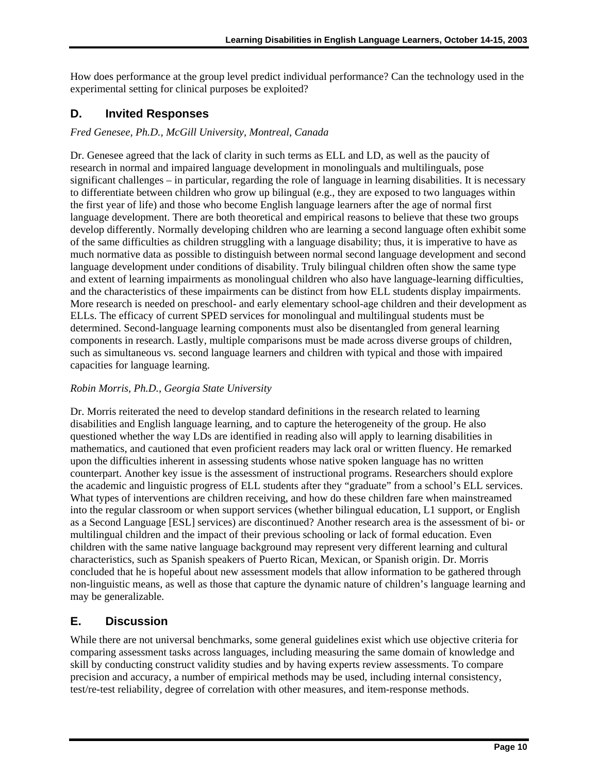How does performance at the group level predict individual performance? Can the technology used in the experimental setting for clinical purposes be exploited?

#### **D. Invited Responses**

#### *Fred Genesee, Ph.D., McGill University, Montreal, Canada*

Dr. Genesee agreed that the lack of clarity in such terms as ELL and LD, as well as the paucity of research in normal and impaired language development in monolinguals and multilinguals, pose significant challenges – in particular, regarding the role of language in learning disabilities. It is necessary to differentiate between children who grow up bilingual (e.g., they are exposed to two languages within the first year of life) and those who become English language learners after the age of normal first language development. There are both theoretical and empirical reasons to believe that these two groups develop differently. Normally developing children who are learning a second language often exhibit some of the same difficulties as children struggling with a language disability; thus, it is imperative to have as much normative data as possible to distinguish between normal second language development and second language development under conditions of disability. Truly bilingual children often show the same type and extent of learning impairments as monolingual children who also have language-learning difficulties, and the characteristics of these impairments can be distinct from how ELL students display impairments. More research is needed on preschool- and early elementary school-age children and their development as ELLs. The efficacy of current SPED services for monolingual and multilingual students must be determined. Second-language learning components must also be disentangled from general learning components in research. Lastly, multiple comparisons must be made across diverse groups of children, such as simultaneous vs. second language learners and children with typical and those with impaired capacities for language learning.

#### *Robin Morris, Ph.D., Georgia State University*

Dr. Morris reiterated the need to develop standard definitions in the research related to learning disabilities and English language learning, and to capture the heterogeneity of the group. He also questioned whether the way LDs are identified in reading also will apply to learning disabilities in mathematics, and cautioned that even proficient readers may lack oral or written fluency. He remarked upon the difficulties inherent in assessing students whose native spoken language has no written counterpart. Another key issue is the assessment of instructional programs. Researchers should explore the academic and linguistic progress of ELL students after they "graduate" from a school's ELL services. What types of interventions are children receiving, and how do these children fare when mainstreamed into the regular classroom or when support services (whether bilingual education, L1 support, or English as a Second Language [ESL] services) are discontinued? Another research area is the assessment of bi- or multilingual children and the impact of their previous schooling or lack of formal education. Even children with the same native language background may represent very different learning and cultural characteristics, such as Spanish speakers of Puerto Rican, Mexican, or Spanish origin. Dr. Morris concluded that he is hopeful about new assessment models that allow information to be gathered through non-linguistic means, as well as those that capture the dynamic nature of children's language learning and may be generalizable.

#### **E. Discussion**

While there are not universal benchmarks, some general guidelines exist which use objective criteria for comparing assessment tasks across languages, including measuring the same domain of knowledge and skill by conducting construct validity studies and by having experts review assessments. To compare precision and accuracy, a number of empirical methods may be used, including internal consistency, test/re-test reliability, degree of correlation with other measures, and item-response methods.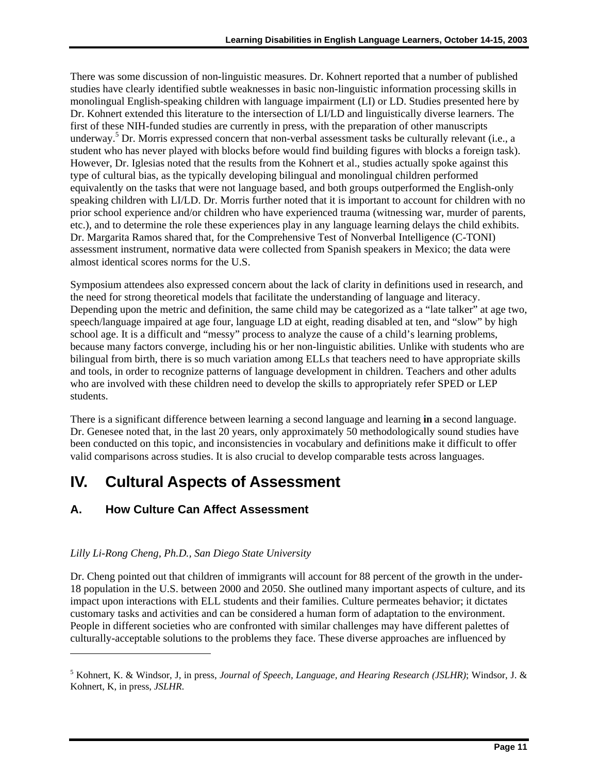<span id="page-17-0"></span>There was some discussion of non-linguistic measures. Dr. Kohnert reported that a number of published studies have clearly identified subtle weaknesses in basic non-linguistic information processing skills in monolingual English-speaking children with language impairment (LI) or LD. Studies presented here by Dr. Kohnert extended this literature to the intersection of LI/LD and linguistically diverse learners. The first of these NIH-funded studies are currently in press, with the preparation of other manuscripts underway.<sup>[5](#page-17-1)</sup> Dr. Morris expressed concern that non-verbal assessment tasks be culturally relevant (i.e., a student who has never played with blocks before would find building figures with blocks a foreign task). However, Dr. Iglesias noted that the results from the Kohnert et al., studies actually spoke against this type of cultural bias, as the typically developing bilingual and monolingual children performed equivalently on the tasks that were not language based, and both groups outperformed the English-only speaking children with LI/LD. Dr. Morris further noted that it is important to account for children with no prior school experience and/or children who have experienced trauma (witnessing war, murder of parents, etc.), and to determine the role these experiences play in any language learning delays the child exhibits. Dr. Margarita Ramos shared that, for the Comprehensive Test of Nonverbal Intelligence (C-TONI) assessment instrument, normative data were collected from Spanish speakers in Mexico; the data were almost identical scores norms for the U.S.

Symposium attendees also expressed concern about the lack of clarity in definitions used in research, and the need for strong theoretical models that facilitate the understanding of language and literacy. Depending upon the metric and definition, the same child may be categorized as a "late talker" at age two, speech/language impaired at age four, language LD at eight, reading disabled at ten, and "slow" by high school age. It is a difficult and "messy" process to analyze the cause of a child's learning problems, because many factors converge, including his or her non-linguistic abilities. Unlike with students who are bilingual from birth, there is so much variation among ELLs that teachers need to have appropriate skills and tools, in order to recognize patterns of language development in children. Teachers and other adults who are involved with these children need to develop the skills to appropriately refer SPED or LEP students.

There is a significant difference between learning a second language and learning **in** a second language. Dr. Genesee noted that, in the last 20 years, only approximately 50 methodologically sound studies have been conducted on this topic, and inconsistencies in vocabulary and definitions make it difficult to offer valid comparisons across studies. It is also crucial to develop comparable tests across languages.

### **IV. Cultural Aspects of Assessment**

#### **A. How Culture Can Affect Assessment**

#### *Lilly Li-Rong Cheng, Ph.D., San Diego State University*

-

Dr. Cheng pointed out that children of immigrants will account for 88 percent of the growth in the under-18 population in the U.S. between 2000 and 2050. She outlined many important aspects of culture, and its impact upon interactions with ELL students and their families. Culture permeates behavior; it dictates customary tasks and activities and can be considered a human form of adaptation to the environment. People in different societies who are confronted with similar challenges may have different palettes of culturally-acceptable solutions to the problems they face. These diverse approaches are influenced by

<span id="page-17-1"></span><sup>5</sup> Kohnert, K. & Windsor, J, in press, *Journal of Speech, Language, and Hearing Research (JSLHR)*; Windsor, J. & Kohnert, K, in press, *JSLHR*.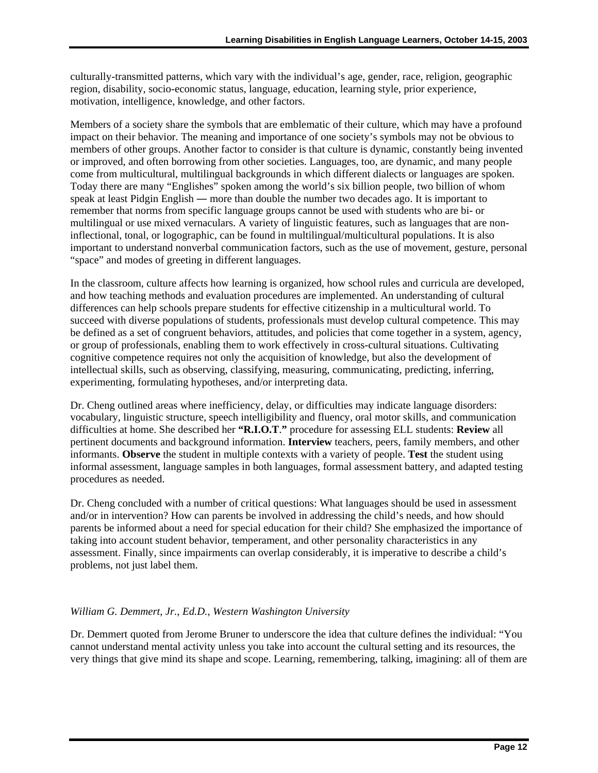culturally-transmitted patterns, which vary with the individual's age, gender, race, religion, geographic region, disability, socio-economic status, language, education, learning style, prior experience, motivation, intelligence, knowledge, and other factors.

Members of a society share the symbols that are emblematic of their culture, which may have a profound impact on their behavior. The meaning and importance of one society's symbols may not be obvious to members of other groups. Another factor to consider is that culture is dynamic, constantly being invented or improved, and often borrowing from other societies. Languages, too, are dynamic, and many people come from multicultural, multilingual backgrounds in which different dialects or languages are spoken. Today there are many "Englishes" spoken among the world's six billion people, two billion of whom speak at least Pidgin English ― more than double the number two decades ago. It is important to remember that norms from specific language groups cannot be used with students who are bi- or multilingual or use mixed vernaculars. A variety of linguistic features, such as languages that are noninflectional, tonal, or logographic, can be found in multilingual/multicultural populations. It is also important to understand nonverbal communication factors, such as the use of movement, gesture, personal "space" and modes of greeting in different languages.

In the classroom, culture affects how learning is organized, how school rules and curricula are developed, and how teaching methods and evaluation procedures are implemented. An understanding of cultural differences can help schools prepare students for effective citizenship in a multicultural world. To succeed with diverse populations of students, professionals must develop cultural competence. This may be defined as a set of congruent behaviors, attitudes, and policies that come together in a system, agency, or group of professionals, enabling them to work effectively in cross-cultural situations. Cultivating cognitive competence requires not only the acquisition of knowledge, but also the development of intellectual skills, such as observing, classifying, measuring, communicating, predicting, inferring, experimenting, formulating hypotheses, and/or interpreting data.

Dr. Cheng outlined areas where inefficiency, delay, or difficulties may indicate language disorders: vocabulary, linguistic structure, speech intelligibility and fluency, oral motor skills, and communication difficulties at home. She described her **"R.I.O.T**.**"** procedure for assessing ELL students: **Review** all pertinent documents and background information. **Interview** teachers, peers, family members, and other informants. **Observe** the student in multiple contexts with a variety of people. **Test** the student using informal assessment, language samples in both languages, formal assessment battery, and adapted testing procedures as needed.

Dr. Cheng concluded with a number of critical questions: What languages should be used in assessment and/or in intervention? How can parents be involved in addressing the child's needs, and how should parents be informed about a need for special education for their child? She emphasized the importance of taking into account student behavior, temperament, and other personality characteristics in any assessment. Finally, since impairments can overlap considerably, it is imperative to describe a child's problems, not just label them.

#### *William G. Demmert, Jr., Ed.D., Western Washington University*

Dr. Demmert quoted from Jerome Bruner to underscore the idea that culture defines the individual: "You cannot understand mental activity unless you take into account the cultural setting and its resources, the very things that give mind its shape and scope. Learning, remembering, talking, imagining: all of them are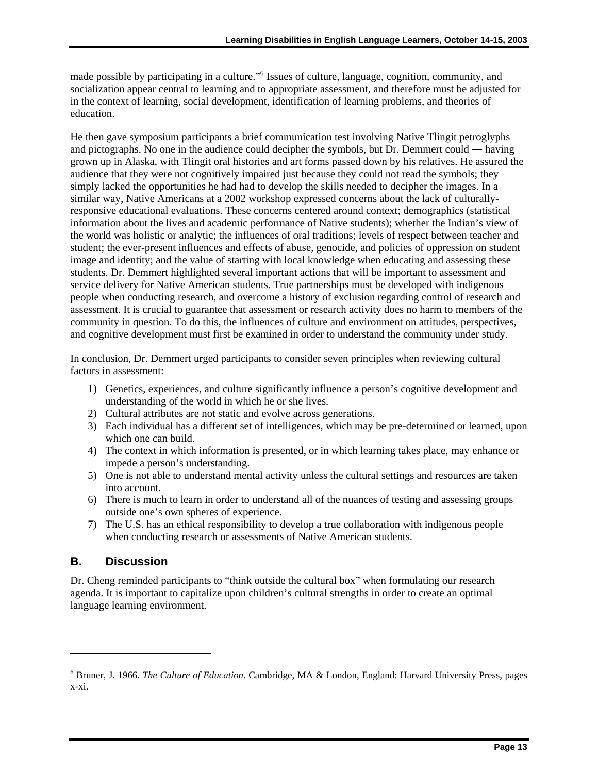made possible by participating in a culture."<sup>[6](#page-19-0)</sup> Issues of culture, language, cognition, community, and socialization appear central to learning and to appropriate assessment, and therefore must be adjusted for in the context of learning, social development, identification of learning problems, and theories of education.

He then gave symposium participants a brief communication test involving Native Tlingit petroglyphs and pictographs. No one in the audience could decipher the symbols, but Dr. Demmert could ― having grown up in Alaska, with Tlingit oral histories and art forms passed down by his relatives. He assured the audience that they were not cognitively impaired just because they could not read the symbols; they simply lacked the opportunities he had had to develop the skills needed to decipher the images. In a similar way, Native Americans at a 2002 workshop expressed concerns about the lack of culturallyresponsive educational evaluations. These concerns centered around context; demographics (statistical information about the lives and academic performance of Native students); whether the Indian's view of the world was holistic or analytic; the influences of oral traditions; levels of respect between teacher and student; the ever-present influences and effects of abuse, genocide, and policies of oppression on student image and identity; and the value of starting with local knowledge when educating and assessing these students. Dr. Demmert highlighted several important actions that will be important to assessment and service delivery for Native American students. True partnerships must be developed with indigenous people when conducting research, and overcome a history of exclusion regarding control of research and assessment. It is crucial to guarantee that assessment or research activity does no harm to members of the community in question. To do this, the influences of culture and environment on attitudes, perspectives, and cognitive development must first be examined in order to understand the community under study.

In conclusion, Dr. Demmert urged participants to consider seven principles when reviewing cultural factors in assessment:

- 1) Genetics, experiences, and culture significantly influence a person's cognitive development and understanding of the world in which he or she lives.
- 2) Cultural attributes are not static and evolve across generations.
- 3) Each individual has a different set of intelligences, which may be pre-determined or learned, upon which one can build.
- 4) The context in which information is presented, or in which learning takes place, may enhance or impede a person's understanding.
- 5) One is not able to understand mental activity unless the cultural settings and resources are taken into account.
- 6) There is much to learn in order to understand all of the nuances of testing and assessing groups outside one's own spheres of experience.
- 7) The U.S. has an ethical responsibility to develop a true collaboration with indigenous people when conducting research or assessments of Native American students.

#### **B. Discussion**

-

Dr. Cheng reminded participants to "think outside the cultural box" when formulating our research agenda. It is important to capitalize upon children's cultural strengths in order to create an optimal language learning environment.

<span id="page-19-0"></span><sup>6</sup> Bruner, J. 1966. *The Culture of Education*. Cambridge, MA & London, England: Harvard University Press, pages x-xi.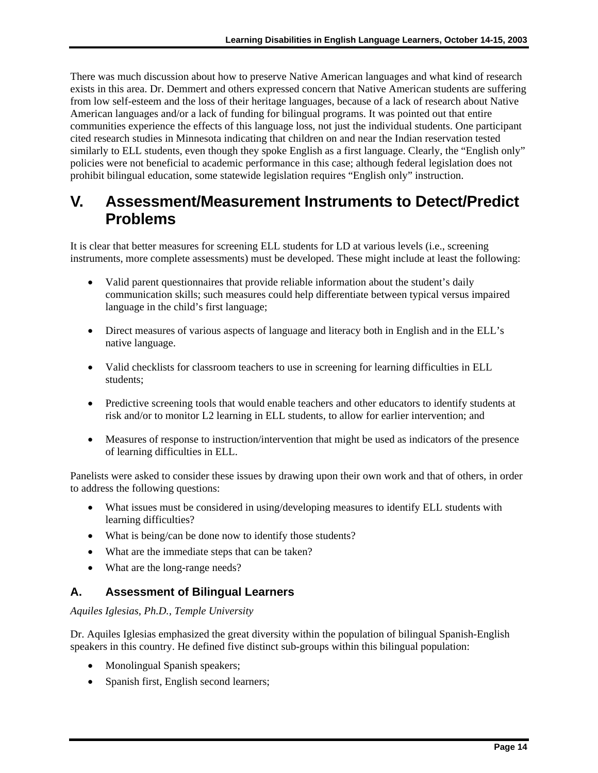<span id="page-20-0"></span>There was much discussion about how to preserve Native American languages and what kind of research exists in this area. Dr. Demmert and others expressed concern that Native American students are suffering from low self-esteem and the loss of their heritage languages, because of a lack of research about Native American languages and/or a lack of funding for bilingual programs. It was pointed out that entire communities experience the effects of this language loss, not just the individual students. One participant cited research studies in Minnesota indicating that children on and near the Indian reservation tested similarly to ELL students, even though they spoke English as a first language. Clearly, the "English only" policies were not beneficial to academic performance in this case; although federal legislation does not prohibit bilingual education, some statewide legislation requires "English only" instruction.

### **V. Assessment/Measurement Instruments to Detect/Predict Problems**

It is clear that better measures for screening ELL students for LD at various levels (i.e., screening instruments, more complete assessments) must be developed. These might include at least the following:

- Valid parent questionnaires that provide reliable information about the student's daily communication skills; such measures could help differentiate between typical versus impaired language in the child's first language;
- Direct measures of various aspects of language and literacy both in English and in the ELL's native language.
- Valid checklists for classroom teachers to use in screening for learning difficulties in ELL students;
- Predictive screening tools that would enable teachers and other educators to identify students at risk and/or to monitor L2 learning in ELL students, to allow for earlier intervention; and
- Measures of response to instruction/intervention that might be used as indicators of the presence of learning difficulties in ELL.

Panelists were asked to consider these issues by drawing upon their own work and that of others, in order to address the following questions:

- What issues must be considered in using/developing measures to identify ELL students with learning difficulties?
- What is being/can be done now to identify those students?
- What are the immediate steps that can be taken?
- What are the long-range needs?

#### **A. Assessment of Bilingual Learners**

#### *Aquiles Iglesias, Ph.D., Temple University*

Dr. Aquiles Iglesias emphasized the great diversity within the population of bilingual Spanish-English speakers in this country. He defined five distinct sub-groups within this bilingual population:

- Monolingual Spanish speakers;
- Spanish first, English second learners;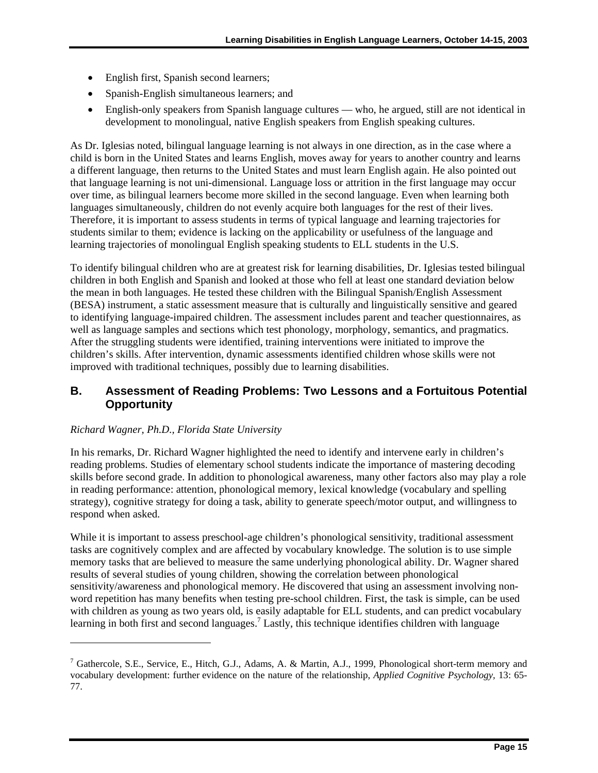- English first, Spanish second learners;
- Spanish-English simultaneous learners; and
- English-only speakers from Spanish language cultures who, he argued, still are not identical in development to monolingual, native English speakers from English speaking cultures.

As Dr. Iglesias noted, bilingual language learning is not always in one direction, as in the case where a child is born in the United States and learns English, moves away for years to another country and learns a different language, then returns to the United States and must learn English again. He also pointed out that language learning is not uni-dimensional. Language loss or attrition in the first language may occur over time, as bilingual learners become more skilled in the second language. Even when learning both languages simultaneously, children do not evenly acquire both languages for the rest of their lives. Therefore, it is important to assess students in terms of typical language and learning trajectories for students similar to them; evidence is lacking on the applicability or usefulness of the language and learning trajectories of monolingual English speaking students to ELL students in the U.S.

To identify bilingual children who are at greatest risk for learning disabilities, Dr. Iglesias tested bilingual children in both English and Spanish and looked at those who fell at least one standard deviation below the mean in both languages. He tested these children with the Bilingual Spanish/English Assessment (BESA) instrument, a static assessment measure that is culturally and linguistically sensitive and geared to identifying language-impaired children. The assessment includes parent and teacher questionnaires, as well as language samples and sections which test phonology, morphology, semantics, and pragmatics. After the struggling students were identified, training interventions were initiated to improve the children's skills. After intervention, dynamic assessments identified children whose skills were not improved with traditional techniques, possibly due to learning disabilities.

#### **B. Assessment of Reading Problems: Two Lessons and a Fortuitous Potential Opportunity**

#### *Richard Wagner, Ph.D., Florida State University*

l

In his remarks, Dr. Richard Wagner highlighted the need to identify and intervene early in children's reading problems. Studies of elementary school students indicate the importance of mastering decoding skills before second grade. In addition to phonological awareness, many other factors also may play a role in reading performance: attention, phonological memory, lexical knowledge (vocabulary and spelling strategy), cognitive strategy for doing a task, ability to generate speech/motor output, and willingness to respond when asked.

While it is important to assess preschool-age children's phonological sensitivity, traditional assessment tasks are cognitively complex and are affected by vocabulary knowledge. The solution is to use simple memory tasks that are believed to measure the same underlying phonological ability. Dr. Wagner shared results of several studies of young children, showing the correlation between phonological sensitivity/awareness and phonological memory. He discovered that using an assessment involving nonword repetition has many benefits when testing pre-school children. First, the task is simple, can be used with children as young as two years old, is easily adaptable for ELL students, and can predict vocabulary learning in both first and second languages.<sup>[7](#page-21-0)</sup> Lastly, this technique identifies children with language

<span id="page-21-0"></span><sup>&</sup>lt;sup>7</sup> Gathercole, S.E., Service, E., Hitch, G.J., Adams, A. & Martin, A.J., 1999, Phonological short-term memory and vocabulary development: further evidence on the nature of the relationship, *Applied Cognitive Psychology,* 13: 65- 77.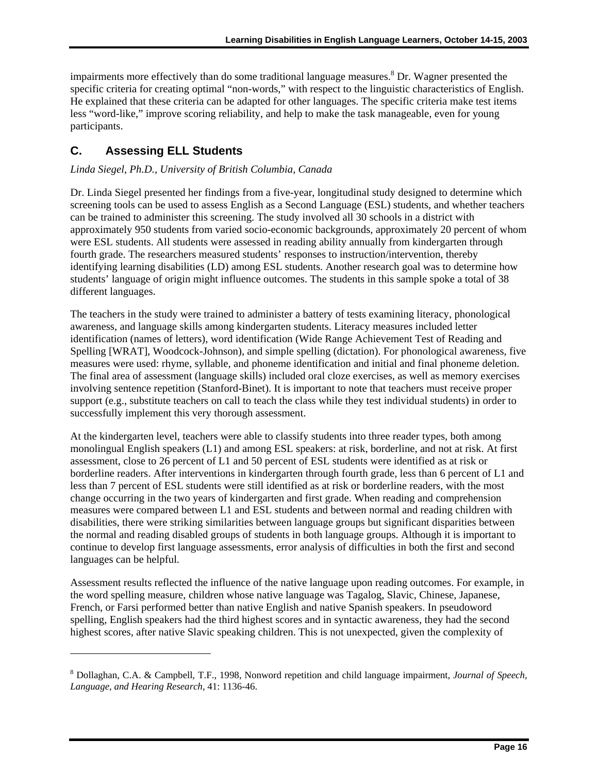impairmentsmore effectively than do some traditional language measures.<sup>8</sup> Dr. Wagner presented the specific criteria for creating optimal "non-words," with respect to the linguistic characteristics of English. He explained that these criteria can be adapted for other languages. The specific criteria make test items less "word-like," improve scoring reliability, and help to make the task manageable, even for young participants.

#### **C. Assessing ELL Students**

 $\overline{a}$ 

#### *Linda Siegel, Ph.D., University of British Columbia, Canada*

Dr. Linda Siegel presented her findings from a five-year, longitudinal study designed to determine which screening tools can be used to assess English as a Second Language (ESL) students, and whether teachers can be trained to administer this screening. The study involved all 30 schools in a district with approximately 950 students from varied socio-economic backgrounds, approximately 20 percent of whom were ESL students. All students were assessed in reading ability annually from kindergarten through fourth grade. The researchers measured students' responses to instruction/intervention, thereby identifying learning disabilities (LD) among ESL students. Another research goal was to determine how students' language of origin might influence outcomes. The students in this sample spoke a total of 38 different languages.

The teachers in the study were trained to administer a battery of tests examining literacy, phonological awareness, and language skills among kindergarten students. Literacy measures included letter identification (names of letters), word identification (Wide Range Achievement Test of Reading and Spelling [WRAT], Woodcock-Johnson), and simple spelling (dictation). For phonological awareness, five measures were used: rhyme, syllable, and phoneme identification and initial and final phoneme deletion. The final area of assessment (language skills) included oral cloze exercises, as well as memory exercises involving sentence repetition (Stanford-Binet). It is important to note that teachers must receive proper support (e.g., substitute teachers on call to teach the class while they test individual students) in order to successfully implement this very thorough assessment.

At the kindergarten level, teachers were able to classify students into three reader types, both among monolingual English speakers (L1) and among ESL speakers: at risk, borderline, and not at risk. At first assessment, close to 26 percent of L1 and 50 percent of ESL students were identified as at risk or borderline readers. After interventions in kindergarten through fourth grade, less than 6 percent of L1 and less than 7 percent of ESL students were still identified as at risk or borderline readers, with the most change occurring in the two years of kindergarten and first grade. When reading and comprehension measures were compared between L1 and ESL students and between normal and reading children with disabilities, there were striking similarities between language groups but significant disparities between the normal and reading disabled groups of students in both language groups. Although it is important to continue to develop first language assessments, error analysis of difficulties in both the first and second languages can be helpful.

Assessment results reflected the influence of the native language upon reading outcomes. For example, in the word spelling measure, children whose native language was Tagalog, Slavic, Chinese, Japanese, French, or Farsi performed better than native English and native Spanish speakers. In pseudoword spelling, English speakers had the third highest scores and in syntactic awareness, they had the second highest scores, after native Slavic speaking children. This is not unexpected, given the complexity of

<span id="page-22-0"></span><sup>8</sup> Dollaghan, C.A. & Campbell, T.F., 1998, Nonword repetition and child language impairment, *Journal of Speech, Language, and Hearing Research,* 41: 1136-46.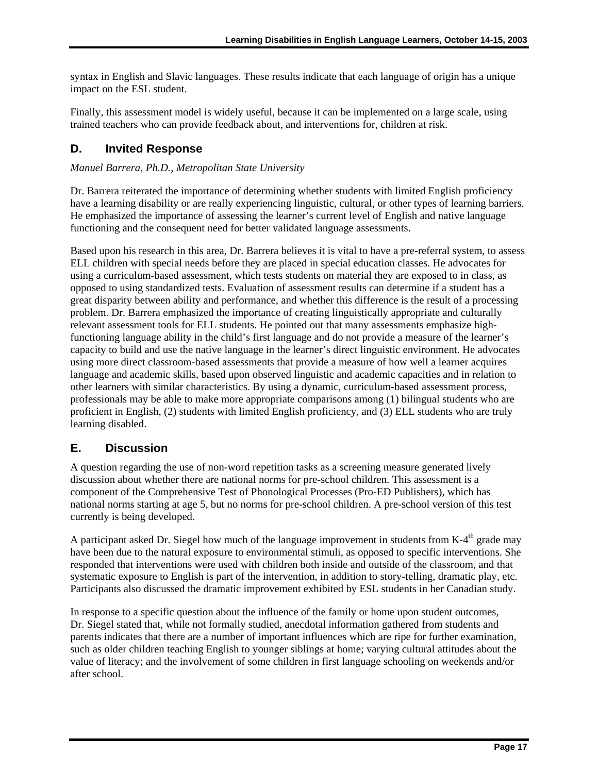impact on the ESL student. syntax in English and Slavic languages. These results indicate that each language of origin has a unique

Finally, this assessment model is widely useful, because it can be implemented on a large scale, using trained teachers who can provide feedback about, and interventions for, children at risk.

#### **D. Invited Response**

*Manuel Barrera, Ph.D., Metropolitan State University* 

Dr. Barrera reiterated the importance of determining whether students with limited English proficiency have a learning disability or are really experiencing linguistic, cultural, or other types of learning barriers. He emphasized the importance of assessing the learner's current level of English and native language functioning and the consequent need for better validated language assessments.

Based upon his research in this area, Dr. Barrera believes it is vital to have a pre-referral system, to assess ELL children with special needs before they are placed in special education classes. He advocates for using a curriculum-based assessment, which tests students on material they are exposed to in class, as opposed to using standardized tests. Evaluation of assessment results can determine if a student has a great disparity between ability and performance, and whether this difference is the result of a processing problem. Dr. Barrera emphasized the importance of creating linguistically appropriate and culturally relevant assessment tools for ELL students. He pointed out that many assessments emphasize highfunctioning language ability in the child's first language and do not provide a measure of the learner's capacity to build and use the native language in the learner's direct linguistic environment. He advocates using more direct classroom-based assessments that provide a measure of how well a learner acquires language and academic skills, based upon observed linguistic and academic capacities and in relation to other learners with similar characteristics. By using a dynamic, curriculum-based assessment process, professionals may be able to make more appropriate comparisons among (1) bilingual students who are proficient in English, (2) students with limited English proficiency, and (3) ELL students who are truly learning disabled.

#### **E. Discussion**

A question regarding the use of non-word repetition tasks as a screening measure generated lively discussion about whether there are national norms for pre-school children. This assessment is a component of the Comprehensive Test of Phonological Processes (Pro-ED Publishers), which has national norms starting at age 5, but no norms for pre-school children. A pre-school version of this test currently is being developed.

A participant asked Dr. Siegel how much of the language improvement in students from  $K-4<sup>th</sup>$  grade may have been due to the natural exposure to environmental stimuli, as opposed to specific interventions. She responded that interventions were used with children both inside and outside of the classroom, and that systematic exposure to English is part of the intervention, in addition to story-telling, dramatic play, etc. Participants also discussed the dramatic improvement exhibited by ESL students in her Canadian study.

In response to a specific question about the influence of the family or home upon student outcomes, Dr. Siegel stated that, while not formally studied, anecdotal information gathered from students and parents indicates that there are a number of important influences which are ripe for further examination, such as older children teaching English to younger siblings at home; varying cultural attitudes about the value of literacy; and the involvement of some children in first language schooling on weekends and/or after school.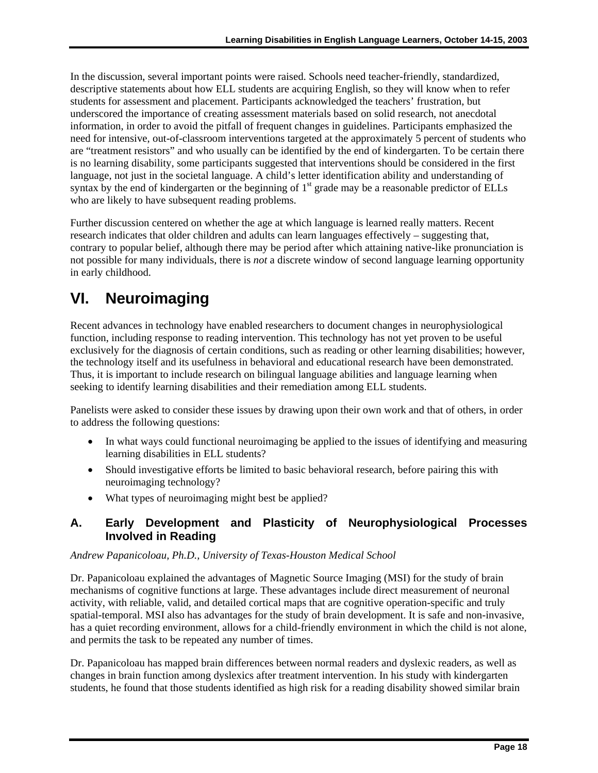<span id="page-24-0"></span>In the discussion, several important points were raised. Schools need teacher-friendly, standardized, descriptive statements about how ELL students are acquiring English, so they will know when to refer students for assessment and placement. Participants acknowledged the teachers' frustration, but underscored the importance of creating assessment materials based on solid research, not anecdotal information, in order to avoid the pitfall of frequent changes in guidelines. Participants emphasized the need for intensive, out-of-classroom interventions targeted at the approximately 5 percent of students who are "treatment resistors" and who usually can be identified by the end of kindergarten. To be certain there is no learning disability, some participants suggested that interventions should be considered in the first language, not just in the societal language. A child's letter identification ability and understanding of syntax by the end of kindergarten or the beginning of  $1<sup>st</sup>$  grade may be a reasonable predictor of ELLs who are likely to have subsequent reading problems.

Further discussion centered on whether the age at which language is learned really matters. Recent research indicates that older children and adults can learn languages effectively – suggesting that, contrary to popular belief, although there may be period after which attaining native-like pronunciation is not possible for many individuals, there is *not* a discrete window of second language learning opportunity in early childhood.

# **VI. Neuroimaging**

Recent advances in technology have enabled researchers to document changes in neurophysiological function, including response to reading intervention. This technology has not yet proven to be useful exclusively for the diagnosis of certain conditions, such as reading or other learning disabilities; however, the technology itself and its usefulness in behavioral and educational research have been demonstrated. Thus, it is important to include research on bilingual language abilities and language learning when seeking to identify learning disabilities and their remediation among ELL students.

Panelists were asked to consider these issues by drawing upon their own work and that of others, in order to address the following questions:

- In what ways could functional neuroimaging be applied to the issues of identifying and measuring learning disabilities in ELL students?
- Should investigative efforts be limited to basic behavioral research, before pairing this with neuroimaging technology?
- What types of neuroimaging might best be applied?

#### **A. Early Development and Plasticity of Neurophysiological Processes Involved in Reading**

#### *Andrew Papanicoloau, Ph.D., University of Texas-Houston Medical School*

Dr. Papanicoloau explained the advantages of Magnetic Source Imaging (MSI) for the study of brain mechanisms of cognitive functions at large. These advantages include direct measurement of neuronal activity, with reliable, valid, and detailed cortical maps that are cognitive operation-specific and truly spatial-temporal. MSI also has advantages for the study of brain development. It is safe and non-invasive, has a quiet recording environment, allows for a child-friendly environment in which the child is not alone, and permits the task to be repeated any number of times.

Dr. Papanicoloau has mapped brain differences between normal readers and dyslexic readers, as well as changes in brain function among dyslexics after treatment intervention. In his study with kindergarten students, he found that those students identified as high risk for a reading disability showed similar brain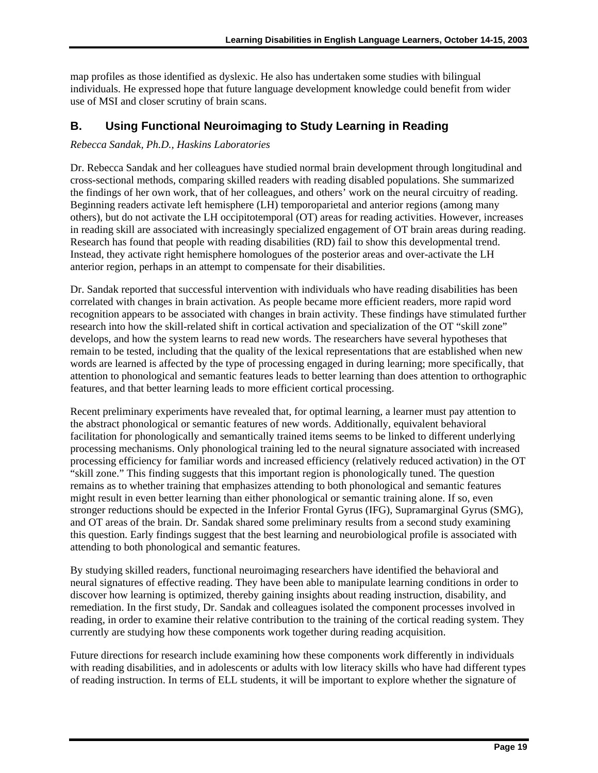map profiles as those identified as dyslexic. He also has undertaken some studies with bilingual individuals. He expressed hope that future language development knowledge could benefit from wider use of MSI and closer scrutiny of brain scans.

#### **B. Using Functional Neuroimaging to Study Learning in Reading**

#### *Rebecca Sandak, Ph.D., Haskins Laboratories*

Dr. Rebecca Sandak and her colleagues have studied normal brain development through longitudinal and cross-sectional methods, comparing skilled readers with reading disabled populations. She summarized the findings of her own work, that of her colleagues, and others' work on the neural circuitry of reading. Beginning readers activate left hemisphere (LH) temporoparietal and anterior regions (among many others), but do not activate the LH occipitotemporal (OT) areas for reading activities. However, increases in reading skill are associated with increasingly specialized engagement of OT brain areas during reading. Research has found that people with reading disabilities (RD) fail to show this developmental trend. Instead, they activate right hemisphere homologues of the posterior areas and over-activate the LH anterior region, perhaps in an attempt to compensate for their disabilities.

Dr. Sandak reported that successful intervention with individuals who have reading disabilities has been correlated with changes in brain activation. As people became more efficient readers, more rapid word recognition appears to be associated with changes in brain activity. These findings have stimulated further research into how the skill-related shift in cortical activation and specialization of the OT "skill zone" develops, and how the system learns to read new words. The researchers have several hypotheses that remain to be tested, including that the quality of the lexical representations that are established when new words are learned is affected by the type of processing engaged in during learning; more specifically, that attention to phonological and semantic features leads to better learning than does attention to orthographic features, and that better learning leads to more efficient cortical processing.

Recent preliminary experiments have revealed that, for optimal learning, a learner must pay attention to the abstract phonological or semantic features of new words. Additionally, equivalent behavioral facilitation for phonologically and semantically trained items seems to be linked to different underlying processing mechanisms. Only phonological training led to the neural signature associated with increased processing efficiency for familiar words and increased efficiency (relatively reduced activation) in the OT "skill zone." This finding suggests that this important region is phonologically tuned. The question remains as to whether training that emphasizes attending to both phonological and semantic features might result in even better learning than either phonological or semantic training alone. If so, even stronger reductions should be expected in the Inferior Frontal Gyrus (IFG), Supramarginal Gyrus (SMG), and OT areas of the brain. Dr. Sandak shared some preliminary results from a second study examining this question. Early findings suggest that the best learning and neurobiological profile is associated with attending to both phonological and semantic features.

By studying skilled readers, functional neuroimaging researchers have identified the behavioral and neural signatures of effective reading. They have been able to manipulate learning conditions in order to discover how learning is optimized, thereby gaining insights about reading instruction, disability, and remediation. In the first study, Dr. Sandak and colleagues isolated the component processes involved in reading, in order to examine their relative contribution to the training of the cortical reading system. They currently are studying how these components work together during reading acquisition.

Future directions for research include examining how these components work differently in individuals with reading disabilities, and in adolescents or adults with low literacy skills who have had different types of reading instruction. In terms of ELL students, it will be important to explore whether the signature of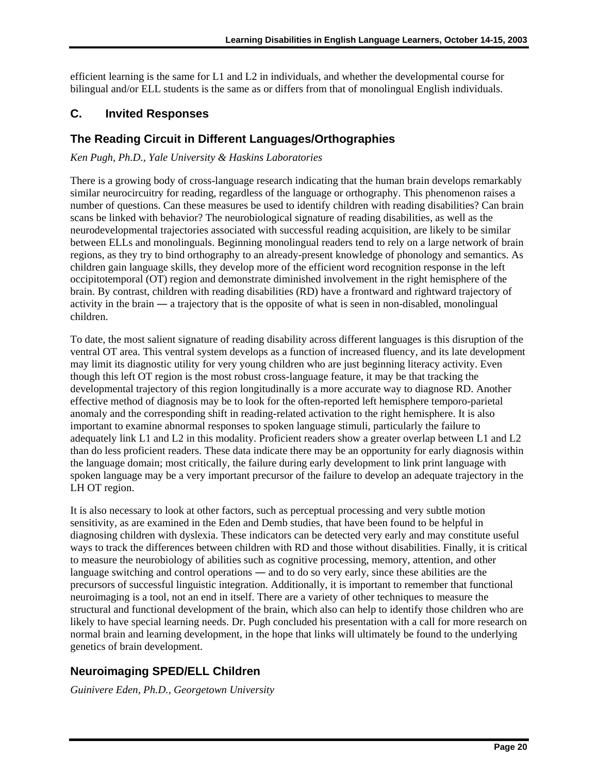efficient learning is the same for L1 and L2 in individuals, and whether the developmental course for bilingual and/or ELL students is the same as or differs from that of monolingual English individuals.

#### **C. Invited Responses**

#### **The Reading Circuit in Different Languages/Orthographies**

*Ken Pugh, Ph.D., Yale University & Haskins Laboratories* 

There is a growing body of cross-language research indicating that the human brain develops remarkably similar neurocircuitry for reading, regardless of the language or orthography. This phenomenon raises a number of questions. Can these measures be used to identify children with reading disabilities? Can brain scans be linked with behavior? The neurobiological signature of reading disabilities, as well as the neurodevelopmental trajectories associated with successful reading acquisition, are likely to be similar between ELLs and monolinguals. Beginning monolingual readers tend to rely on a large network of brain regions, as they try to bind orthography to an already-present knowledge of phonology and semantics. As children gain language skills, they develop more of the efficient word recognition response in the left occipitotemporal (OT) region and demonstrate diminished involvement in the right hemisphere of the brain. By contrast, children with reading disabilities (RD) have a frontward and rightward trajectory of activity in the brain ― a trajectory that is the opposite of what is seen in non-disabled, monolingual children.

To date, the most salient signature of reading disability across different languages is this disruption of the ventral OT area. This ventral system develops as a function of increased fluency, and its late development may limit its diagnostic utility for very young children who are just beginning literacy activity. Even though this left OT region is the most robust cross-language feature, it may be that tracking the developmental trajectory of this region longitudinally is a more accurate way to diagnose RD. Another effective method of diagnosis may be to look for the often-reported left hemisphere temporo-parietal anomaly and the corresponding shift in reading-related activation to the right hemisphere. It is also important to examine abnormal responses to spoken language stimuli, particularly the failure to adequately link L1 and L2 in this modality. Proficient readers show a greater overlap between L1 and L2 than do less proficient readers. These data indicate there may be an opportunity for early diagnosis within the language domain; most critically, the failure during early development to link print language with spoken language may be a very important precursor of the failure to develop an adequate trajectory in the LH OT region.

It is also necessary to look at other factors, such as perceptual processing and very subtle motion sensitivity, as are examined in the Eden and Demb studies, that have been found to be helpful in diagnosing children with dyslexia. These indicators can be detected very early and may constitute useful ways to track the differences between children with RD and those without disabilities. Finally, it is critical to measure the neurobiology of abilities such as cognitive processing, memory, attention, and other language switching and control operations ― and to do so very early, since these abilities are the precursors of successful linguistic integration. Additionally, it is important to remember that functional neuroimaging is a tool, not an end in itself. There are a variety of other techniques to measure the structural and functional development of the brain, which also can help to identify those children who are likely to have special learning needs. Dr. Pugh concluded his presentation with a call for more research on normal brain and learning development, in the hope that links will ultimately be found to the underlying genetics of brain development.

#### **Neuroimaging SPED/ELL Children**

*Guinivere Eden, Ph.D., Georgetown University*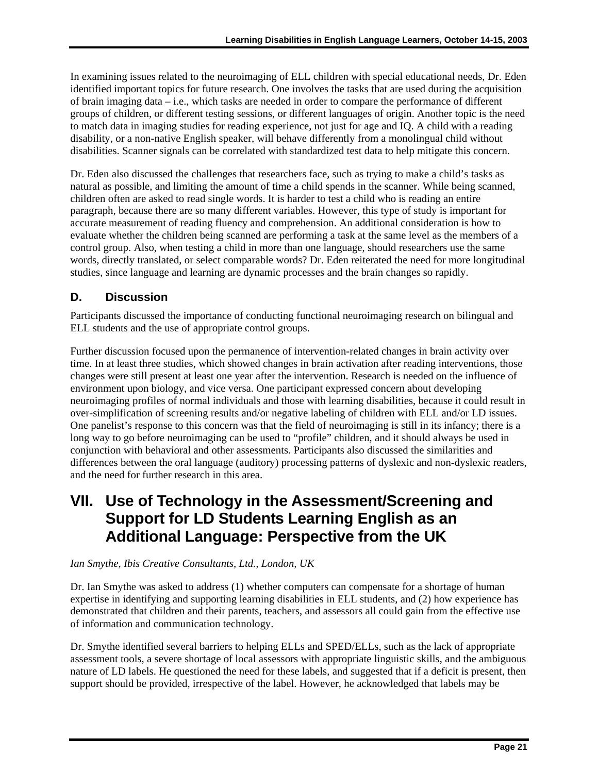<span id="page-27-0"></span>In examining issues related to the neuroimaging of ELL children with special educational needs, Dr. Eden identified important topics for future research. One involves the tasks that are used during the acquisition of brain imaging data – i.e., which tasks are needed in order to compare the performance of different groups of children, or different testing sessions, or different languages of origin. Another topic is the need to match data in imaging studies for reading experience, not just for age and IQ. A child with a reading disability, or a non-native English speaker, will behave differently from a monolingual child without disabilities. Scanner signals can be correlated with standardized test data to help mitigate this concern.

 studies, since language and learning are dynamic processes and the brain changes so rapidly. Dr. Eden also discussed the challenges that researchers face, such as trying to make a child's tasks as natural as possible, and limiting the amount of time a child spends in the scanner. While being scanned, children often are asked to read single words. It is harder to test a child who is reading an entire paragraph, because there are so many different variables. However, this type of study is important for accurate measurement of reading fluency and comprehension. An additional consideration is how to evaluate whether the children being scanned are performing a task at the same level as the members of a control group. Also, when testing a child in more than one language, should researchers use the same words, directly translated, or select comparable words? Dr. Eden reiterated the need for more longitudinal

#### **D. Discussion**

Participants discussed the importance of conducting functional neuroimaging research on bilingual and ELL students and the use of appropriate control groups.

Further discussion focused upon the permanence of intervention-related changes in brain activity over time. In at least three studies, which showed changes in brain activation after reading interventions, those changes were still present at least one year after the intervention. Research is needed on the influence of environment upon biology, and vice versa. One participant expressed concern about developing neuroimaging profiles of normal individuals and those with learning disabilities, because it could result in over-simplification of screening results and/or negative labeling of children with ELL and/or LD issues. One panelist's response to this concern was that the field of neuroimaging is still in its infancy; there is a long way to go before neuroimaging can be used to "profile" children, and it should always be used in conjunction with behavioral and other assessments. Participants also discussed the similarities and differences between the oral language (auditory) processing patterns of dyslexic and non-dyslexic readers, and the need for further research in this area.

### **VII. Use of Technology in the Assessment/Screening and Support for LD Students Learning English as an Additional Language: Perspective from the UK**

#### *Ian Smythe, Ibis Creative Consultants, Ltd., London, UK*

Dr. Ian Smythe was asked to address (1) whether computers can compensate for a shortage of human expertise in identifying and supporting learning disabilities in ELL students, and (2) how experience has demonstrated that children and their parents, teachers, and assessors all could gain from the effective use of information and communication technology.

Dr. Smythe identified several barriers to helping ELLs and SPED/ELLs, such as the lack of appropriate assessment tools, a severe shortage of local assessors with appropriate linguistic skills, and the ambiguous nature of LD labels. He questioned the need for these labels, and suggested that if a deficit is present, then support should be provided, irrespective of the label. However, he acknowledged that labels may be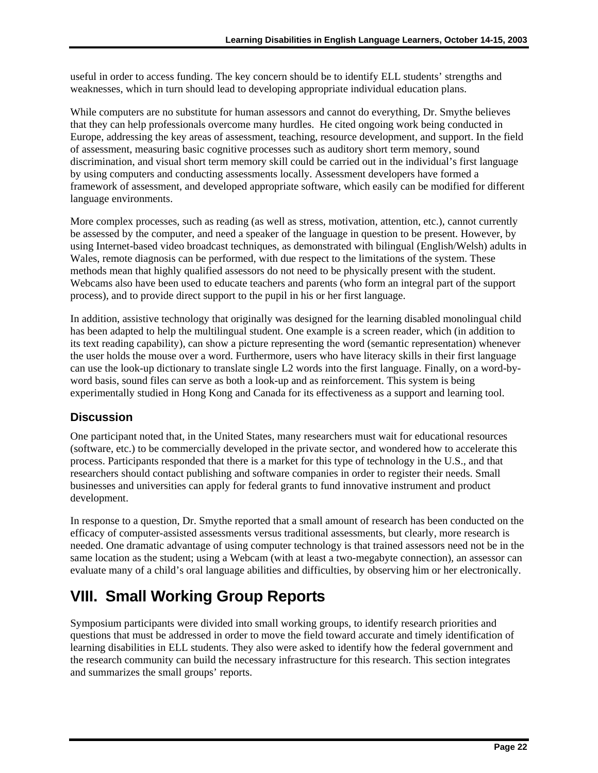<span id="page-28-0"></span>useful in order to access funding. The key concern should be to identify ELL students' strengths and weaknesses, which in turn should lead to developing appropriate individual education plans.

While computers are no substitute for human assessors and cannot do everything, Dr. Smythe believes that they can help professionals overcome many hurdles. He cited ongoing work being conducted in Europe, addressing the key areas of assessment, teaching, resource development, and support. In the field of assessment, measuring basic cognitive processes such as auditory short term memory, sound discrimination, and visual short term memory skill could be carried out in the individual's first language by using computers and conducting assessments locally. Assessment developers have formed a framework of assessment, and developed appropriate software, which easily can be modified for different language environments.

More complex processes, such as reading (as well as stress, motivation, attention, etc.), cannot currently be assessed by the computer, and need a speaker of the language in question to be present. However, by using Internet-based video broadcast techniques, as demonstrated with bilingual (English/Welsh) adults in Wales, remote diagnosis can be performed, with due respect to the limitations of the system. These methods mean that highly qualified assessors do not need to be physically present with the student. Webcams also have been used to educate teachers and parents (who form an integral part of the support process), and to provide direct support to the pupil in his or her first language.

In addition, assistive technology that originally was designed for the learning disabled monolingual child has been adapted to help the multilingual student. One example is a screen reader, which (in addition to its text reading capability), can show a picture representing the word (semantic representation) whenever the user holds the mouse over a word. Furthermore, users who have literacy skills in their first language can use the look-up dictionary to translate single L2 words into the first language. Finally, on a word-byword basis, sound files can serve as both a look-up and as reinforcement. This system is being experimentally studied in Hong Kong and Canada for its effectiveness as a support and learning tool.

#### **Discussion**

One participant noted that, in the United States, many researchers must wait for educational resources (software, etc.) to be commercially developed in the private sector, and wondered how to accelerate this process. Participants responded that there is a market for this type of technology in the U.S., and that researchers should contact publishing and software companies in order to register their needs. Small businesses and universities can apply for federal grants to fund innovative instrument and product development.

In response to a question, Dr. Smythe reported that a small amount of research has been conducted on the efficacy of computer-assisted assessments versus traditional assessments, but clearly, more research is needed. One dramatic advantage of using computer technology is that trained assessors need not be in the same location as the student; using a Webcam (with at least a two-megabyte connection), an assessor can evaluate many of a child's oral language abilities and difficulties, by observing him or her electronically.

### **VIII. Small Working Group Reports**

Symposium participants were divided into small working groups, to identify research priorities and questions that must be addressed in order to move the field toward accurate and timely identification of learning disabilities in ELL students. They also were asked to identify how the federal government and the research community can build the necessary infrastructure for this research. This section integrates and summarizes the small groups' reports.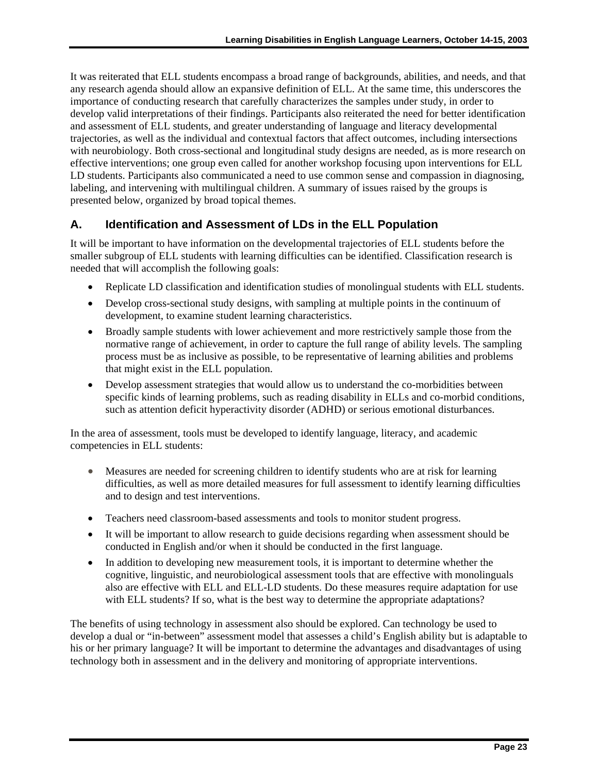It was reiterated that ELL students encompass a broad range of backgrounds, abilities, and needs, and that any research agenda should allow an expansive definition of ELL. At the same time, this underscores the importance of conducting research that carefully characterizes the samples under study, in order to develop valid interpretations of their findings. Participants also reiterated the need for better identification and assessment of ELL students, and greater understanding of language and literacy developmental trajectories, as well as the individual and contextual factors that affect outcomes, including intersections with neurobiology. Both cross-sectional and longitudinal study designs are needed, as is more research on effective interventions; one group even called for another workshop focusing upon interventions for ELL LD students. Participants also communicated a need to use common sense and compassion in diagnosing, labeling, and intervening with multilingual children. A summary of issues raised by the groups is presented below, organized by broad topical themes.

#### **A. Identification and Assessment of LDs in the ELL Population**

It will be important to have information on the developmental trajectories of ELL students before the smaller subgroup of ELL students with learning difficulties can be identified. Classification research is needed that will accomplish the following goals:

- Replicate LD classification and identification studies of monolingual students with ELL students.
- Develop cross-sectional study designs, with sampling at multiple points in the continuum of development, to examine student learning characteristics.
- Broadly sample students with lower achievement and more restrictively sample those from the normative range of achievement, in order to capture the full range of ability levels. The sampling process must be as inclusive as possible, to be representative of learning abilities and problems that might exist in the ELL population.
- Develop assessment strategies that would allow us to understand the co-morbidities between specific kinds of learning problems, such as reading disability in ELLs and co-morbid conditions, such as attention deficit hyperactivity disorder (ADHD) or serious emotional disturbances.

In the area of assessment, tools must be developed to identify language, literacy, and academic competencies in ELL students:

- Measures are needed for screening children to identify students who are at risk for learning difficulties, as well as more detailed measures for full assessment to identify learning difficulties and to design and test interventions.
- Teachers need classroom-based assessments and tools to monitor student progress.
- It will be important to allow research to guide decisions regarding when assessment should be conducted in English and/or when it should be conducted in the first language.
- In addition to developing new measurement tools, it is important to determine whether the cognitive, linguistic, and neurobiological assessment tools that are effective with monolinguals also are effective with ELL and ELL-LD students. Do these measures require adaptation for use with ELL students? If so, what is the best way to determine the appropriate adaptations?

The benefits of using technology in assessment also should be explored. Can technology be used to develop a dual or "in-between" assessment model that assesses a child's English ability but is adaptable to his or her primary language? It will be important to determine the advantages and disadvantages of using technology both in assessment and in the delivery and monitoring of appropriate interventions.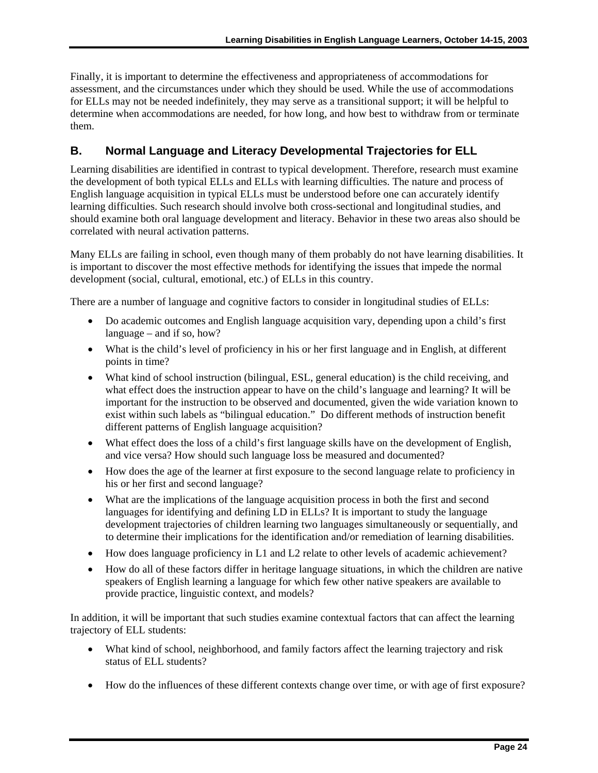Finally, it is important to determine the effectiveness and appropriateness of accommodations for assessment, and the circumstances under which they should be used. While the use of accommodations for ELLs may not be needed indefinitely, they may serve as a transitional support; it will be helpful to determine when accommodations are needed, for how long, and how best to withdraw from or terminate them.

#### **B. Normal Language and Literacy Developmental Trajectories for ELL**

Learning disabilities are identified in contrast to typical development. Therefore, research must examine the development of both typical ELLs and ELLs with learning difficulties. The nature and process of English language acquisition in typical ELLs must be understood before one can accurately identify learning difficulties. Such research should involve both cross-sectional and longitudinal studies, and should examine both oral language development and literacy. Behavior in these two areas also should be correlated with neural activation patterns.

Many ELLs are failing in school, even though many of them probably do not have learning disabilities. It is important to discover the most effective methods for identifying the issues that impede the normal development (social, cultural, emotional, etc.) of ELLs in this country.

There are a number of language and cognitive factors to consider in longitudinal studies of ELLs:

- Do academic outcomes and English language acquisition vary, depending upon a child's first language – and if so, how?
- What is the child's level of proficiency in his or her first language and in English, at different points in time?
- What kind of school instruction (bilingual, ESL, general education) is the child receiving, and what effect does the instruction appear to have on the child's language and learning? It will be important for the instruction to be observed and documented, given the wide variation known to exist within such labels as "bilingual education." Do different methods of instruction benefit different patterns of English language acquisition?
- What effect does the loss of a child's first language skills have on the development of English, and vice versa? How should such language loss be measured and documented?
- How does the age of the learner at first exposure to the second language relate to proficiency in his or her first and second language?
- What are the implications of the language acquisition process in both the first and second languages for identifying and defining LD in ELLs? It is important to study the language development trajectories of children learning two languages simultaneously or sequentially, and to determine their implications for the identification and/or remediation of learning disabilities.
- How does language proficiency in L1 and L2 relate to other levels of academic achievement?
- How do all of these factors differ in heritage language situations, in which the children are native speakers of English learning a language for which few other native speakers are available to provide practice, linguistic context, and models?

In addition, it will be important that such studies examine contextual factors that can affect the learning trajectory of ELL students:

- What kind of school, neighborhood, and family factors affect the learning trajectory and risk status of ELL students?
- How do the influences of these different contexts change over time, or with age of first exposure?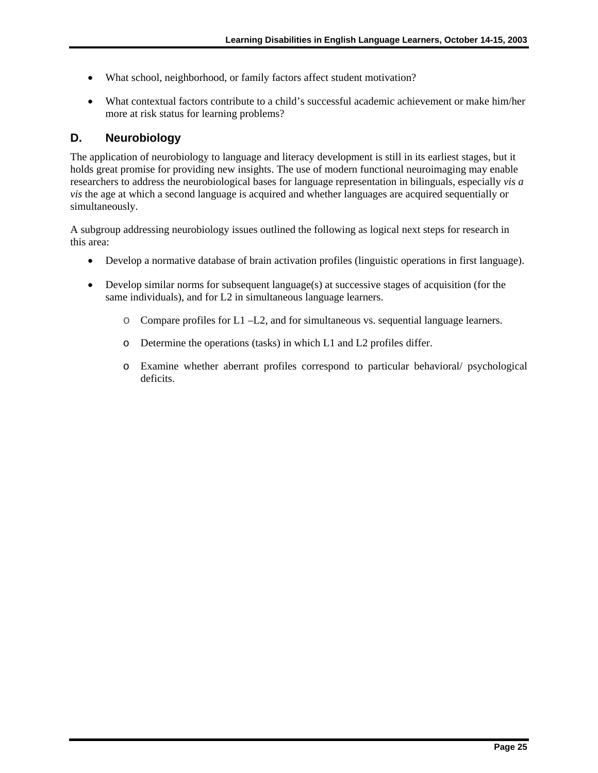- What school, neighborhood, or family factors affect student motivation?
- What contextual factors contribute to a child's successful academic achievement or make him/her more at risk status for learning problems?

#### **D. Neurobiology**

The application of neurobiology to language and literacy development is still in its earliest stages, but it holds great promise for providing new insights. The use of modern functional neuroimaging may enable researchers to address the neurobiological bases for language representation in bilinguals, especially *vis a vis* the age at which a second language is acquired and whether languages are acquired sequentially or simultaneously.

A subgroup addressing neurobiology issues outlined the following as logical next steps for research in this area:

- Develop a normative database of brain activation profiles (linguistic operations in first language).
- Develop similar norms for subsequent language(s) at successive stages of acquisition (for the same individuals), and for L2 in simultaneous language learners.
	- o Compare profiles for L1 –L2, and for simultaneous vs. sequential language learners.
	- o Determine the operations (tasks) in which L1 and L2 profiles differ.
	- o Examine whether aberrant profiles correspond to particular behavioral/ psychological deficits.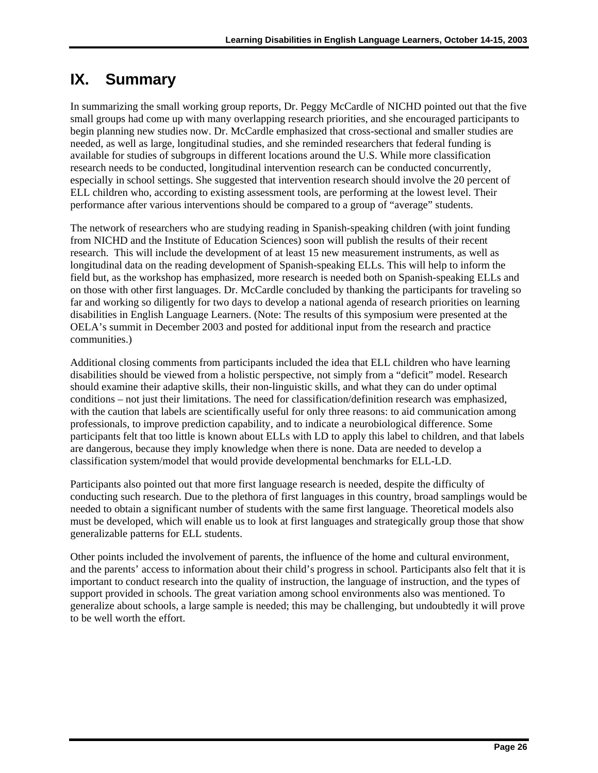# <span id="page-32-0"></span>**IX. Summary**

In summarizing the small working group reports, Dr. Peggy McCardle of NICHD pointed out that the five small groups had come up with many overlapping research priorities, and she encouraged participants to begin planning new studies now. Dr. McCardle emphasized that cross-sectional and smaller studies are needed, as well as large, longitudinal studies, and she reminded researchers that federal funding is available for studies of subgroups in different locations around the U.S. While more classification research needs to be conducted, longitudinal intervention research can be conducted concurrently, especially in school settings. She suggested that intervention research should involve the 20 percent of ELL children who, according to existing assessment tools, are performing at the lowest level. Their performance after various interventions should be compared to a group of "average" students.

The network of researchers who are studying reading in Spanish-speaking children (with joint funding from NICHD and the Institute of Education Sciences) soon will publish the results of their recent research. This will include the development of at least 15 new measurement instruments, as well as longitudinal data on the reading development of Spanish-speaking ELLs. This will help to inform the field but, as the workshop has emphasized, more research is needed both on Spanish-speaking ELLs and on those with other first languages. Dr. McCardle concluded by thanking the participants for traveling so far and working so diligently for two days to develop a national agenda of research priorities on learning disabilities in English Language Learners. (Note: The results of this symposium were presented at the OELA's summit in December 2003 and posted for additional input from the research and practice communities.)

Additional closing comments from participants included the idea that ELL children who have learning disabilities should be viewed from a holistic perspective, not simply from a "deficit" model. Research should examine their adaptive skills, their non-linguistic skills, and what they can do under optimal conditions – not just their limitations. The need for classification/definition research was emphasized, with the caution that labels are scientifically useful for only three reasons: to aid communication among professionals, to improve prediction capability, and to indicate a neurobiological difference. Some participants felt that too little is known about ELLs with LD to apply this label to children, and that labels are dangerous, because they imply knowledge when there is none. Data are needed to develop a classification system/model that would provide developmental benchmarks for ELL-LD.

Participants also pointed out that more first language research is needed, despite the difficulty of conducting such research. Due to the plethora of first languages in this country, broad samplings would be needed to obtain a significant number of students with the same first language. Theoretical models also must be developed, which will enable us to look at first languages and strategically group those that show generalizable patterns for ELL students.

Other points included the involvement of parents, the influence of the home and cultural environment, and the parents' access to information about their child's progress in school. Participants also felt that it is important to conduct research into the quality of instruction, the language of instruction, and the types of support provided in schools. The great variation among school environments also was mentioned. To generalize about schools, a large sample is needed; this may be challenging, but undoubtedly it will prove to be well worth the effort.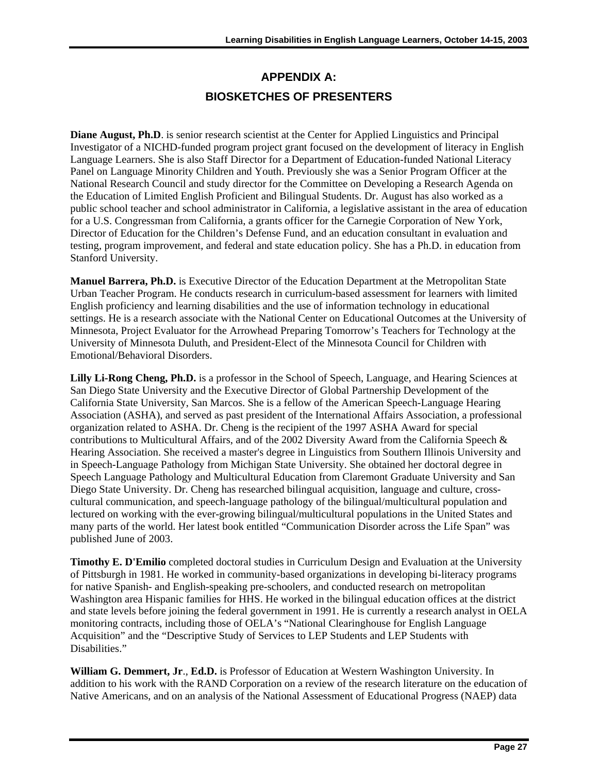### **APPENDIX A: BIOSKETCHES OF PRESENTERS**

<span id="page-33-0"></span>**Diane August, Ph.D**. is senior research scientist at the Center for Applied Linguistics and Principal Investigator of a NICHD-funded program project grant focused on the development of literacy in English Language Learners. She is also Staff Director for a Department of Education-funded National Literacy Panel on Language Minority Children and Youth. Previously she was a Senior Program Officer at the National Research Council and study director for the Committee on Developing a Research Agenda on the Education of Limited English Proficient and Bilingual Students. Dr. August has also worked as a public school teacher and school administrator in California, a legislative assistant in the area of education for a U.S. Congressman from California, a grants officer for the Carnegie Corporation of New York, Director of Education for the Children's Defense Fund, and an education consultant in evaluation and testing, program improvement, and federal and state education policy. She has a Ph.D. in education from Stanford University.

**Manuel Barrera, Ph.D.** is Executive Director of the Education Department at the Metropolitan State Urban Teacher Program. He conducts research in curriculum-based assessment for learners with limited English proficiency and learning disabilities and the use of information technology in educational settings. He is a research associate with the National Center on Educational Outcomes at the University of Minnesota, Project Evaluator for the Arrowhead Preparing Tomorrow's Teachers for Technology at the University of Minnesota Duluth, and President-Elect of the Minnesota Council for Children with Emotional/Behavioral Disorders.

**Lilly Li-Rong Cheng, Ph.D.** is a professor in the School of Speech, Language, and Hearing Sciences at San Diego State University and the Executive Director of Global Partnership Development of the California State University, San Marcos. She is a fellow of the American Speech-Language Hearing Association (ASHA), and served as past president of the International Affairs Association, a professional organization related to ASHA. Dr. Cheng is the recipient of the 1997 ASHA Award for special contributions to Multicultural Affairs, and of the 2002 Diversity Award from the California Speech & Hearing Association. She received a master's degree in Linguistics from Southern Illinois University and in Speech-Language Pathology from Michigan State University. She obtained her doctoral degree in Speech Language Pathology and Multicultural Education from Claremont Graduate University and San Diego State University. Dr. Cheng has researched bilingual acquisition, language and culture, crosscultural communication, and speech-language pathology of the bilingual/multicultural population and lectured on working with the ever-growing bilingual/multicultural populations in the United States and many parts of the world. Her latest book entitled "Communication Disorder across the Life Span" was published June of 2003.

**Timothy E. D'Emilio** completed doctoral studies in Curriculum Design and Evaluation at the University of Pittsburgh in 1981. He worked in community-based organizations in developing bi-literacy programs for native Spanish- and English-speaking pre-schoolers, and conducted research on metropolitan Washington area Hispanic families for HHS. He worked in the bilingual education offices at the district and state levels before joining the federal government in 1991. He is currently a research analyst in OELA monitoring contracts, including those of OELA's "National Clearinghouse for English Language Acquisition" and the "Descriptive Study of Services to LEP Students and LEP Students with Disabilities."

**William G. Demmert, Jr**., **Ed.D.** is Professor of Education at Western Washington University. In addition to his work with the RAND Corporation on a review of the research literature on the education of Native Americans, and on an analysis of the National Assessment of Educational Progress (NAEP) data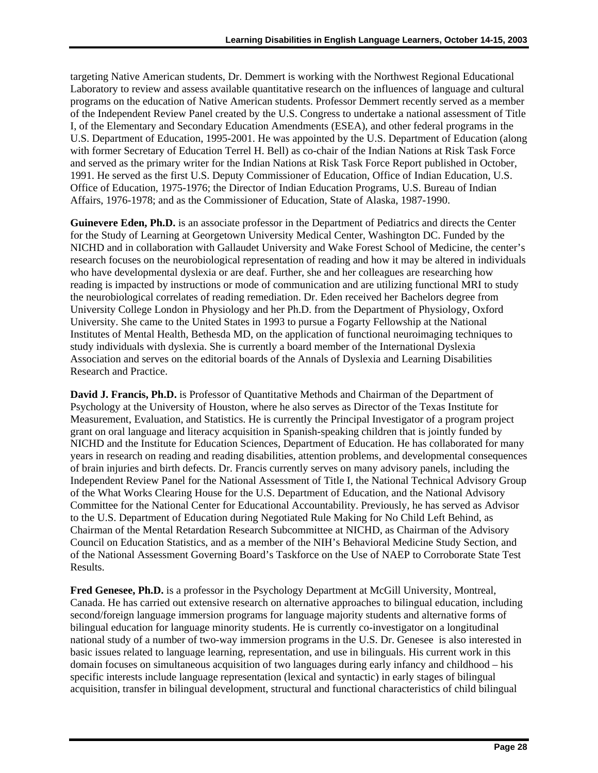targeting Native American students, Dr. Demmert is working with the Northwest Regional Educational Laboratory to review and assess available quantitative research on the influences of language and cultural programs on the education of Native American students. Professor Demmert recently served as a member of the Independent Review Panel created by the U.S. Congress to undertake a national assessment of Title I, of the Elementary and Secondary Education Amendments (ESEA), and other federal programs in the U.S. Department of Education, 1995-2001. He was appointed by the U.S. Department of Education (along with former Secretary of Education Terrel H. Bell) as co-chair of the Indian Nations at Risk Task Force and served as the primary writer for the Indian Nations at Risk Task Force Report published in October, 1991. He served as the first U.S. Deputy Commissioner of Education, Office of Indian Education, U.S. Office of Education, 1975-1976; the Director of Indian Education Programs, U.S. Bureau of Indian Affairs, 1976-1978; and as the Commissioner of Education, State of Alaska, 1987-1990.

**Guinevere Eden, Ph.D.** is an associate professor in the Department of Pediatrics and directs the Center for the Study of Learning at Georgetown University Medical Center, Washington DC. Funded by the NICHD and in collaboration with Gallaudet University and Wake Forest School of Medicine, the center's research focuses on the neurobiological representation of reading and how it may be altered in individuals who have developmental dyslexia or are deaf. Further, she and her colleagues are researching how reading is impacted by instructions or mode of communication and are utilizing functional MRI to study the neurobiological correlates of reading remediation. Dr. Eden received her Bachelors degree from University College London in Physiology and her Ph.D. from the Department of Physiology, Oxford University. She came to the United States in 1993 to pursue a Fogarty Fellowship at the National Institutes of Mental Health, Bethesda MD, on the application of functional neuroimaging techniques to study individuals with dyslexia. She is currently a board member of the International Dyslexia Association and serves on the editorial boards of the Annals of Dyslexia and Learning Disabilities Research and Practice.

 Council on Education Statistics, and as a member of the NIH's Behavioral Medicine Study Section, and **David J. Francis, Ph.D.** is Professor of Quantitative Methods and Chairman of the Department of Psychology at the University of Houston, where he also serves as Director of the Texas Institute for Measurement, Evaluation, and Statistics. He is currently the Principal Investigator of a program project grant on oral language and literacy acquisition in Spanish-speaking children that is jointly funded by NICHD and the Institute for Education Sciences, Department of Education. He has collaborated for many years in research on reading and reading disabilities, attention problems, and developmental consequences of brain injuries and birth defects. Dr. Francis currently serves on many advisory panels, including the Independent Review Panel for the National Assessment of Title I, the National Technical Advisory Group of the What Works Clearing House for the U.S. Department of Education, and the National Advisory Committee for the National Center for Educational Accountability. Previously, he has served as Advisor to the U.S. Department of Education during Negotiated Rule Making for No Child Left Behind, as Chairman of the Mental Retardation Research Subcommittee at NICHD, as Chairman of the Advisory of the National Assessment Governing Board's Taskforce on the Use of NAEP to Corroborate State Test Results.

**Fred Genesee, Ph.D.** is a professor in the Psychology Department at McGill University, Montreal, Canada. He has carried out extensive research on alternative approaches to bilingual education, including second/foreign language immersion programs for language majority students and alternative forms of bilingual education for language minority students. He is currently co-investigator on a longitudinal national study of a number of two-way immersion programs in the U.S. Dr. Genesee is also interested in basic issues related to language learning, representation, and use in bilinguals. His current work in this domain focuses on simultaneous acquisition of two languages during early infancy and childhood – his specific interests include language representation (lexical and syntactic) in early stages of bilingual acquisition, transfer in bilingual development, structural and functional characteristics of child bilingual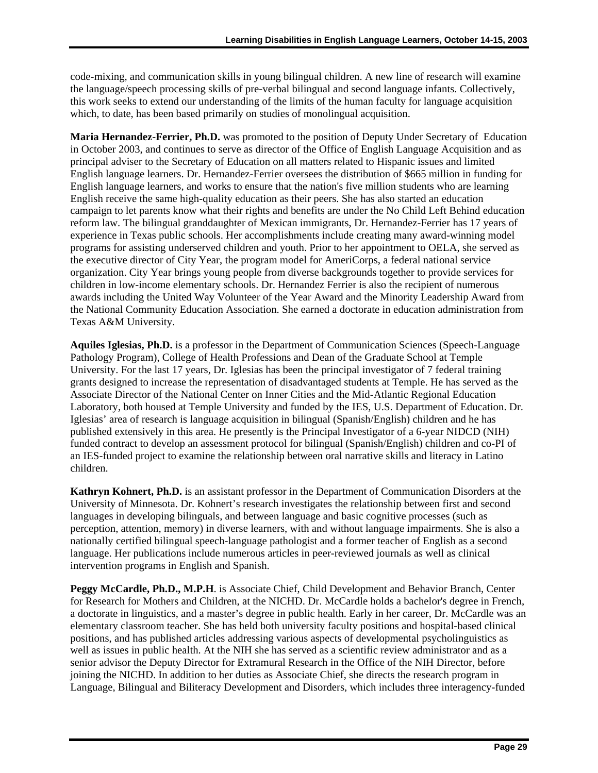code-mixing, and communication skills in young bilingual children. A new line of research will examine the language/speech processing skills of pre-verbal bilingual and second language infants. Collectively, this work seeks to extend our understanding of the limits of the human faculty for language acquisition which, to date, has been based primarily on studies of monolingual acquisition.

**Maria Hernandez-Ferrier, Ph.D.** was promoted to the position of Deputy Under Secretary of Education in October 2003, and continues to serve as director of the Office of English Language Acquisition and as principal adviser to the Secretary of Education on all matters related to Hispanic issues and limited English language learners. Dr. Hernandez-Ferrier oversees the distribution of \$665 million in funding for English language learners, and works to ensure that the nation's five million students who are learning English receive the same high-quality education as their peers. She has also started an education campaign to let parents know what their rights and benefits are under the No Child Left Behind education reform law. The bilingual granddaughter of Mexican immigrants, Dr. Hernandez-Ferrier has 17 years of experience in Texas public schools. Her accomplishments include creating many award-winning model programs for assisting underserved children and youth. Prior to her appointment to OELA, she served as the executive director of City Year, the program model for AmeriCorps, a federal national service organization. City Year brings young people from diverse backgrounds together to provide services for children in low-income elementary schools. Dr. Hernandez Ferrier is also the recipient of numerous awards including the United Way Volunteer of the Year Award and the Minority Leadership Award from the National Community Education Association. She earned a doctorate in education administration from Texas A&M University.

**Aquiles Iglesias, Ph.D.** is a professor in the Department of Communication Sciences (Speech-Language Pathology Program), College of Health Professions and Dean of the Graduate School at Temple University. For the last 17 years, Dr. Iglesias has been the principal investigator of 7 federal training grants designed to increase the representation of disadvantaged students at Temple. He has served as the Associate Director of the National Center on Inner Cities and the Mid-Atlantic Regional Education Laboratory, both housed at Temple University and funded by the IES, U.S. Department of Education. Dr. Iglesias' area of research is language acquisition in bilingual (Spanish/English) children and he has published extensively in this area. He presently is the Principal Investigator of a 6-year NIDCD (NIH) funded contract to develop an assessment protocol for bilingual (Spanish/English) children and co-PI of an IES-funded project to examine the relationship between oral narrative skills and literacy in Latino children.

**Kathryn Kohnert, Ph.D.** is an assistant professor in the Department of Communication Disorders at the University of Minnesota. Dr. Kohnert's research investigates the relationship between first and second languages in developing bilinguals, and between language and basic cognitive processes (such as perception, attention, memory) in diverse learners, with and without language impairments. She is also a nationally certified bilingual speech-language pathologist and a former teacher of English as a second language. Her publications include numerous articles in peer-reviewed journals as well as clinical intervention programs in English and Spanish.

**Peggy McCardle, Ph.D., M.P.H**. is Associate Chief, Child Development and Behavior Branch, Center for Research for Mothers and Children, at the NICHD. Dr. McCardle holds a bachelor's degree in French, a doctorate in linguistics, and a master's degree in public health. Early in her career, Dr. McCardle was an elementary classroom teacher. She has held both university faculty positions and hospital-based clinical positions, and has published articles addressing various aspects of developmental psycholinguistics as well as issues in public health. At the NIH she has served as a scientific review administrator and as a senior advisor the Deputy Director for Extramural Research in the Office of the NIH Director, before joining the NICHD. In addition to her duties as Associate Chief, she directs the research program in Language, Bilingual and Biliteracy Development and Disorders, which includes three interagency-funded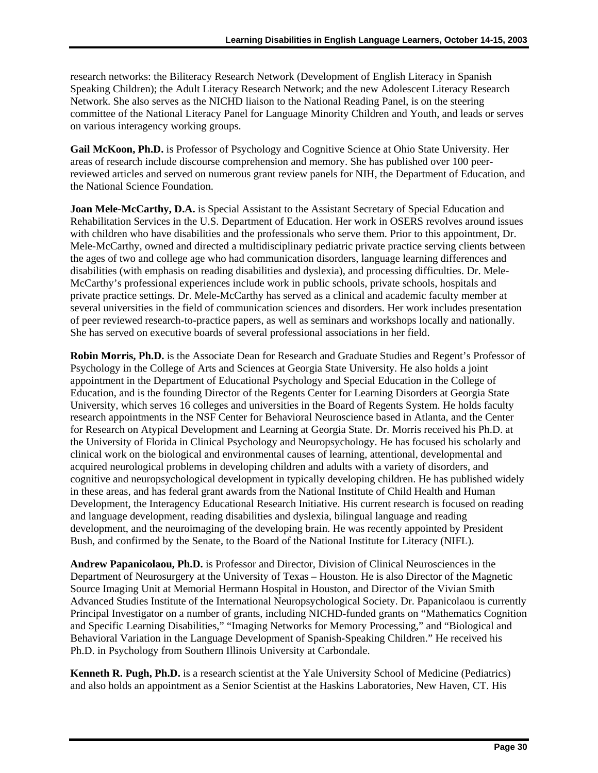research networks: the Biliteracy Research Network (Development of English Literacy in Spanish Speaking Children); the Adult Literacy Research Network; and the new Adolescent Literacy Research Network. She also serves as the NICHD liaison to the National Reading Panel, is on the steering committee of the National Literacy Panel for Language Minority Children and Youth, and leads or serves on various interagency working groups.

**Gail McKoon, Ph.D.** is Professor of Psychology and Cognitive Science at Ohio State University. Her areas of research include discourse comprehension and memory. She has published over 100 peerreviewed articles and served on numerous grant review panels for NIH, the Department of Education, and the National Science Foundation.

**Joan Mele-McCarthy, D.A.** is Special Assistant to the Assistant Secretary of Special Education and Rehabilitation Services in the U.S. Department of Education. Her work in OSERS revolves around issues with children who have disabilities and the professionals who serve them. Prior to this appointment, Dr. Mele-McCarthy, owned and directed a multidisciplinary pediatric private practice serving clients between the ages of two and college age who had communication disorders, language learning differences and disabilities (with emphasis on reading disabilities and dyslexia), and processing difficulties. Dr. Mele-McCarthy's professional experiences include work in public schools, private schools, hospitals and private practice settings. Dr. Mele-McCarthy has served as a clinical and academic faculty member at several universities in the field of communication sciences and disorders. Her work includes presentation of peer reviewed research-to-practice papers, as well as seminars and workshops locally and nationally. She has served on executive boards of several professional associations in her field.

**Robin Morris, Ph.D.** is the Associate Dean for Research and Graduate Studies and Regent's Professor of Psychology in the College of Arts and Sciences at Georgia State University. He also holds a joint appointment in the Department of Educational Psychology and Special Education in the College of Education, and is the founding Director of the Regents Center for Learning Disorders at Georgia State University, which serves 16 colleges and universities in the Board of Regents System. He holds faculty research appointments in the NSF Center for Behavioral Neuroscience based in Atlanta, and the Center for Research on Atypical Development and Learning at Georgia State. Dr. Morris received his Ph.D. at the University of Florida in Clinical Psychology and Neuropsychology. He has focused his scholarly and clinical work on the biological and environmental causes of learning, attentional, developmental and acquired neurological problems in developing children and adults with a variety of disorders, and cognitive and neuropsychological development in typically developing children. He has published widely in these areas, and has federal grant awards from the National Institute of Child Health and Human Development, the Interagency Educational Research Initiative. His current research is focused on reading and language development, reading disabilities and dyslexia, bilingual language and reading development, and the neuroimaging of the developing brain. He was recently appointed by President Bush, and confirmed by the Senate, to the Board of the National Institute for Literacy (NIFL).

**Andrew Papanicolaou, Ph.D.** is Professor and Director, Division of Clinical Neurosciences in the Department of Neurosurgery at the University of Texas – Houston. He is also Director of the Magnetic Source Imaging Unit at Memorial Hermann Hospital in Houston, and Director of the Vivian Smith Advanced Studies Institute of the International Neuropsychological Society. Dr. Papanicolaou is currently Principal Investigator on a number of grants, including NICHD-funded grants on "Mathematics Cognition and Specific Learning Disabilities," "Imaging Networks for Memory Processing," and "Biological and Behavioral Variation in the Language Development of Spanish-Speaking Children." He received his Ph.D. in Psychology from Southern Illinois University at Carbondale.

**Kenneth R. Pugh, Ph.D.** is a research scientist at the Yale University School of Medicine (Pediatrics) and also holds an appointment as a Senior Scientist at the Haskins Laboratories, New Haven, CT. His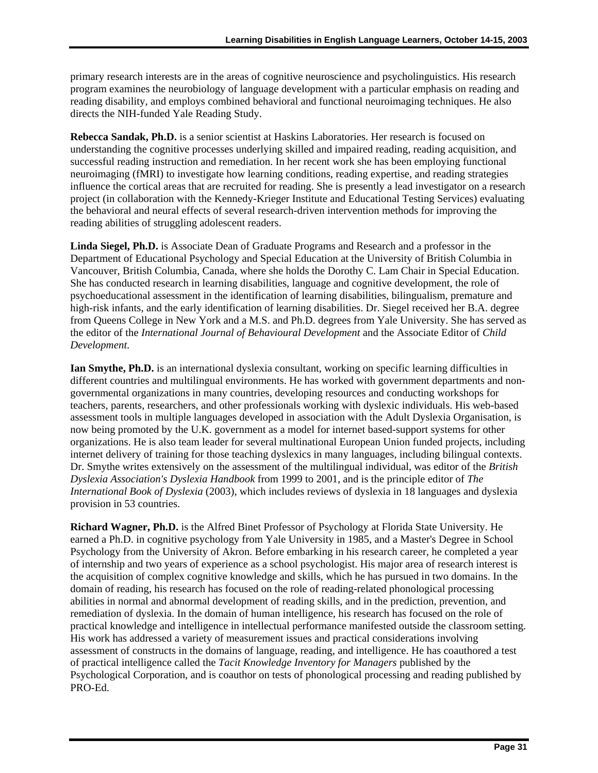directs the NIH-funded Yale Reading Study. primary research interests are in the areas of cognitive neuroscience and psycholinguistics. His research program examines the neurobiology of language development with a particular emphasis on reading and reading disability, and employs combined behavioral and functional neuroimaging techniques. He also

**Rebecca Sandak, Ph.D.** is a senior scientist at Haskins Laboratories. Her research is focused on understanding the cognitive processes underlying skilled and impaired reading, reading acquisition, and successful reading instruction and remediation. In her recent work she has been employing functional neuroimaging (fMRI) to investigate how learning conditions, reading expertise, and reading strategies influence the cortical areas that are recruited for reading. She is presently a lead investigator on a research project (in collaboration with the Kennedy-Krieger Institute and Educational Testing Services) evaluating the behavioral and neural effects of several research-driven intervention methods for improving the reading abilities of struggling adolescent readers.

**Linda Siegel, Ph.D.** is Associate Dean of Graduate Programs and Research and a professor in the Department of Educational Psychology and Special Education at the University of British Columbia in Vancouver, British Columbia, Canada, where she holds the Dorothy C. Lam Chair in Special Education. She has conducted research in learning disabilities, language and cognitive development, the role of psychoeducational assessment in the identification of learning disabilities, bilingualism, premature and high-risk infants, and the early identification of learning disabilities. Dr. Siegel received her B.A. degree from Queens College in New York and a M.S. and Ph.D. degrees from Yale University. She has served as the editor of the *International Journal of Behavioural Development* and the Associate Editor of *Child Development*.

**Ian Smythe, Ph.D.** is an international dyslexia consultant, working on specific learning difficulties in different countries and multilingual environments. He has worked with government departments and nongovernmental organizations in many countries, developing resources and conducting workshops for teachers, parents, researchers, and other professionals working with dyslexic individuals. His web-based assessment tools in multiple languages developed in association with the Adult Dyslexia Organisation, is now being promoted by the U.K. government as a model for internet based-support systems for other organizations. He is also team leader for several multinational European Union funded projects, including internet delivery of training for those teaching dyslexics in many languages, including bilingual contexts. Dr. Smythe writes extensively on the assessment of the multilingual individual, was editor of the *British Dyslexia Association's Dyslexia Handbook* from 1999 to 2001, and is the principle editor of *The International Book of Dyslexia* (2003), which includes reviews of dyslexia in 18 languages and dyslexia provision in 53 countries.

 earned a Ph.D. in cognitive psychology from Yale University in 1985, and a Master's Degree in School **Richard Wagner, Ph.D.** is the Alfred Binet Professor of Psychology at Florida State University. He Psychology from the University of Akron. Before embarking in his research career, he completed a year of internship and two years of experience as a school psychologist. His major area of research interest is the acquisition of complex cognitive knowledge and skills, which he has pursued in two domains. In the domain of reading, his research has focused on the role of reading-related phonological processing abilities in normal and abnormal development of reading skills, and in the prediction, prevention, and remediation of dyslexia. In the domain of human intelligence, his research has focused on the role of practical knowledge and intelligence in intellectual performance manifested outside the classroom setting. His work has addressed a variety of measurement issues and practical considerations involving assessment of constructs in the domains of language, reading, and intelligence. He has coauthored a test of practical intelligence called the *Tacit Knowledge Inventory for Managers* published by the Psychological Corporation, and is coauthor on tests of phonological processing and reading published by PRO-Ed.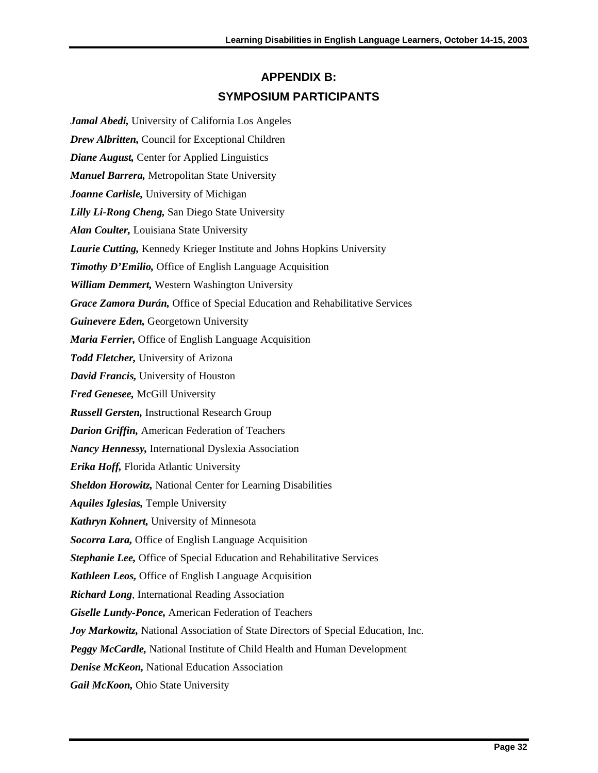### **APPENDIX B: SYMPOSIUM PARTICIPANTS**

<span id="page-38-0"></span>*Jamal Abedi,* University of California Los Angeles *Drew Albritten,* Council for Exceptional Children *Diane August,* Center for Applied Linguistics *Manuel Barrera,* Metropolitan State University *Joanne Carlisle,* University of Michigan *Lilly Li-Rong Cheng,* San Diego State University *Alan Coulter,* Louisiana State University *Laurie Cutting,* Kennedy Krieger Institute and Johns Hopkins University *Timothy D'Emilio,* Office of English Language Acquisition *William Demmert,* Western Washington University *Grace Zamora Durán,* Office of Special Education and Rehabilitative Services *Guinevere Eden,* Georgetown University *Maria Ferrier,* Office of English Language Acquisition *Todd Fletcher,* University of Arizona *David Francis,* University of Houston *Fred Genesee,* McGill University *Russell Gersten,* Instructional Research Group *Darion Griffin,* American Federation of Teachers *Nancy Hennessy,* International Dyslexia Association *Erika Hoff,* Florida Atlantic University *Sheldon Horowitz,* National Center for Learning Disabilities *Aquiles Iglesias,* Temple University *Kathryn Kohnert,* University of Minnesota *Socorra Lara,* Office of English Language Acquisition *Stephanie Lee,* Office of Special Education and Rehabilitative Services *Kathleen Leos,* Office of English Language Acquisition *Richard Long*, International Reading Association *Giselle Lundy-Ponce,* American Federation of Teachers *Joy Markowitz,* National Association of State Directors of Special Education, Inc. *Peggy McCardle,* National Institute of Child Health and Human Development *Denise McKeon,* National Education Association *Gail McKoon,* Ohio State University